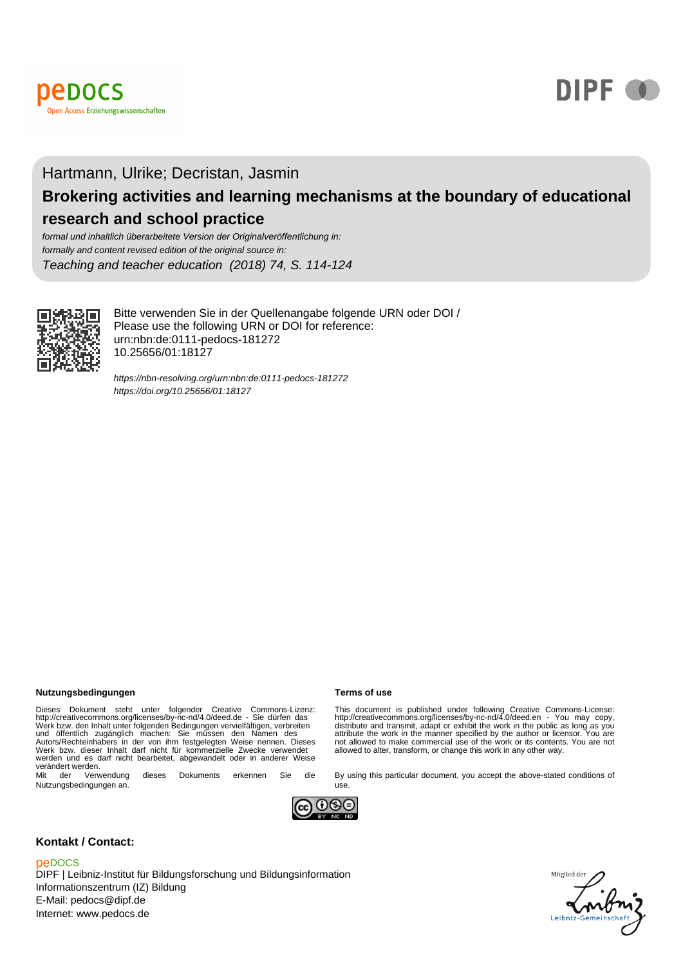



# Hartmann, Ulrike; Decristan, Jasmin **Brokering activities and learning mechanisms at the boundary of educational research and school practice**

formal und inhaltlich überarbeitete Version der Originalveröffentlichung in: formally and content revised edition of the original source in: Teaching and teacher education (2018) 74, S. 114-124



Bitte verwenden Sie in der Quellenangabe folgende URN oder DOI / Please use the following URN or DOI for reference: urn:nbn:de:0111-pedocs-181272 10.25656/01:18127

<https://nbn-resolving.org/urn:nbn:de:0111-pedocs-181272> <https://doi.org/10.25656/01:18127>

#### **Nutzungsbedingungen Terms of use**

Dieses Dokument steht unter folgender Creative Commons-Lizenz:<br>http://creativecommons.org/licenses/by-nc-nd/4.0/deed.de - Sie dürfen das<br>Werk bzw. den Inhalt unter folgenden Bedingungen vervielfältigen, verbreiten<br>und öffe werden und es darf nicht bearbeitet, abgewandelt oder in anderer Weise verändert werden.<br>
Mit der Verwendung

dieses Dokuments erkennen Sie die Nutzungsbedingungen an.

This document is published under following Creative Commons-License:<br>http://creativecommons.org/licenses/by-nc-nd/4.0/deed.en - You may copy,<br>distribute and transmit, adapt or exhibit the work in the public as long as you<br> not allowed to make commercial use of the work or its contents. You are not allowed to alter, transform, or change this work in any other way.

By using this particular document, you accept the above-stated conditions of



use.

#### **Kontakt / Contact:**

#### peDOCS

DIPF | Leibniz-Institut für Bildungsforschung und Bildungsinformation Informationszentrum (IZ) Bildung E-Mail: pedocs@dipf.de Internet: www.pedocs.de

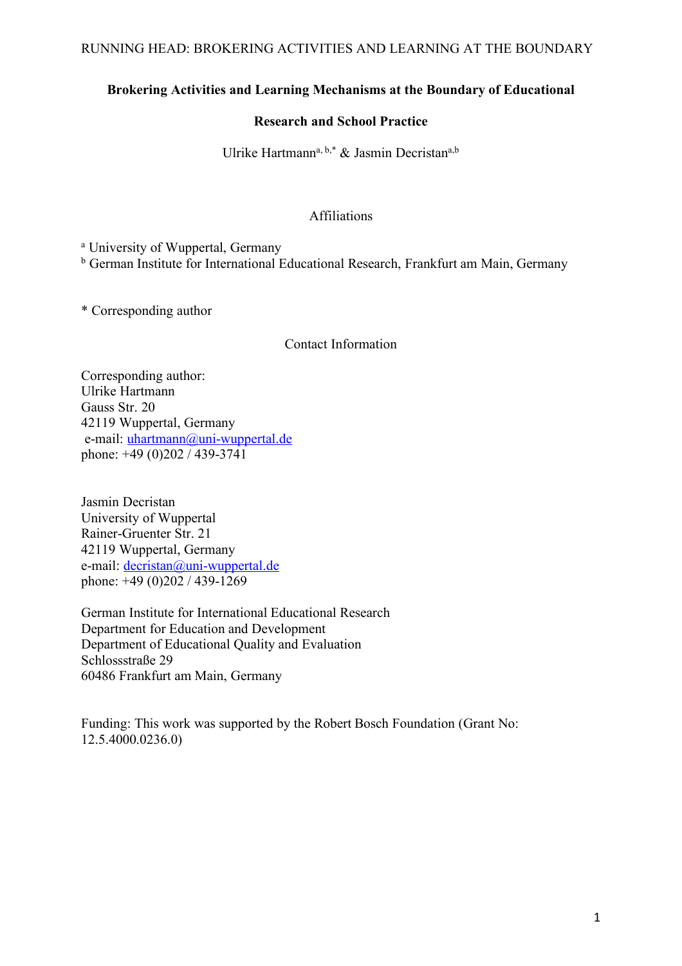## **Brokering Activities and Learning Mechanisms at the Boundary of Educational**

## **Research and School Practice**

Ulrike Hartmann<sup>a, b,\*</sup> & Jasmin Decristan<sup>a,b</sup>

#### Affiliations

<sup>a</sup> University of Wuppertal, Germany

<sup>b</sup> German Institute for International Educational Research, Frankfurt am Main, Germany

\* Corresponding author

#### Contact Information

Corresponding author: Ulrike Hartmann Gauss Str. 20 42119 Wuppertal, Germany e-mail: uhartmann@uni-wuppertal.de phone: +49 (0)202 / 439-3741

Jasmin Decristan University of Wuppertal Rainer-Gruenter Str. 21 42119 Wuppertal, Germany e-mail: decristan@uni-wuppertal.de phone: +49 (0)202 / 439-1269

German Institute for International Educational Research Department for Education and Development Department of Educational Quality and Evaluation Schlossstraße 29 60486 Frankfurt am Main, Germany

Funding: This work was supported by the Robert Bosch Foundation (Grant No: 12.5.4000.0236.0)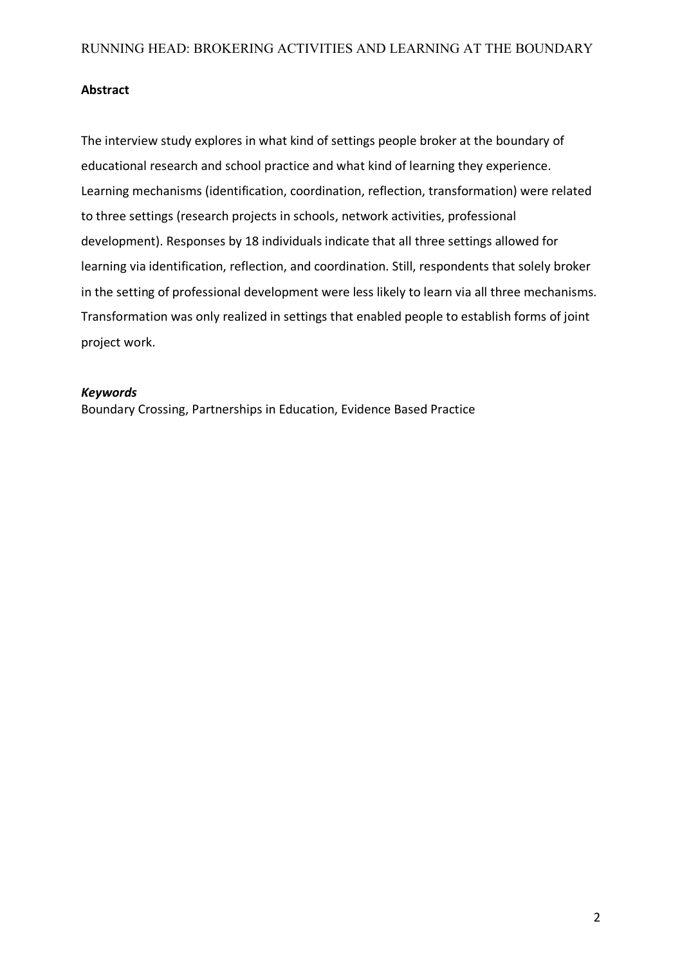#### **Abstract**

The interview study explores in what kind of settings people broker at the boundary of educational research and school practice and what kind of learning they experience. Learning mechanisms (identification, coordination, reflection, transformation) were related to three settings (research projects in schools, network activities, professional development). Responses by 18 individuals indicate that all three settings allowed for learning via identification, reflection, and coordination. Still, respondents that solely broker in the setting of professional development were less likely to learn via all three mechanisms. Transformation was only realized in settings that enabled people to establish forms of joint project work.

#### *Keywords*

Boundary Crossing, Partnerships in Education, Evidence Based Practice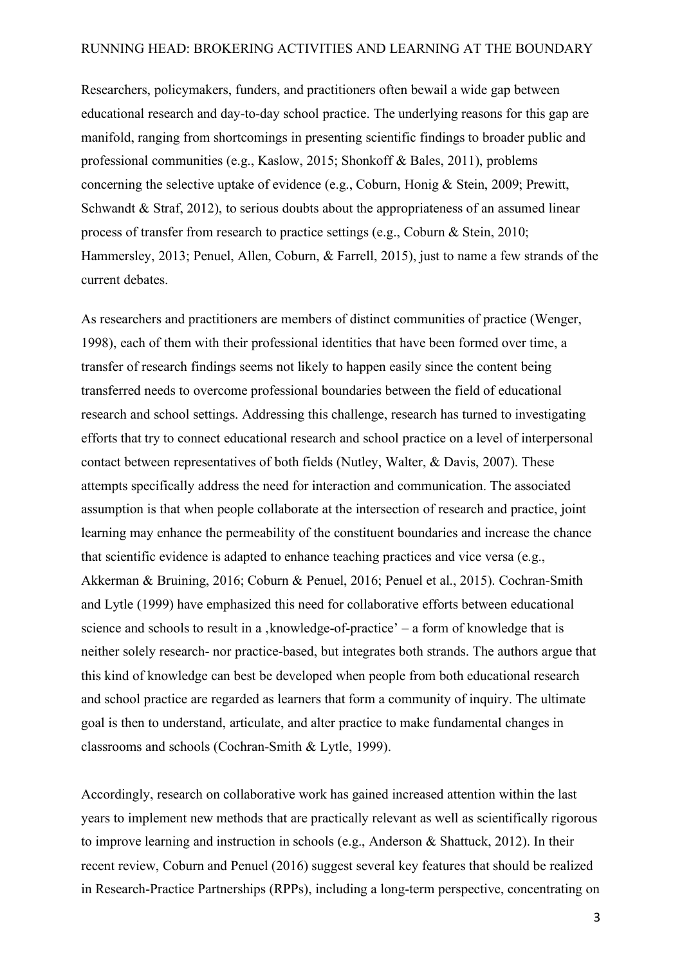Researchers, policymakers, funders, and practitioners often bewail a wide gap between educational research and day-to-day school practice. The underlying reasons for this gap are manifold, ranging from shortcomings in presenting scientific findings to broader public and professional communities (e.g., Kaslow, 2015; Shonkoff & Bales, 2011), problems concerning the selective uptake of evidence (e.g., Coburn, Honig & Stein, 2009; Prewitt, Schwandt & Straf, 2012), to serious doubts about the appropriateness of an assumed linear process of transfer from research to practice settings (e.g., Coburn & Stein, 2010; Hammersley, 2013; Penuel, Allen, Coburn, & Farrell, 2015), just to name a few strands of the current debates.

As researchers and practitioners are members of distinct communities of practice (Wenger, 1998), each of them with their professional identities that have been formed over time, a transfer of research findings seems not likely to happen easily since the content being transferred needs to overcome professional boundaries between the field of educational research and school settings. Addressing this challenge, research has turned to investigating efforts that try to connect educational research and school practice on a level of interpersonal contact between representatives of both fields (Nutley, Walter, & Davis, 2007). These attempts specifically address the need for interaction and communication. The associated assumption is that when people collaborate at the intersection of research and practice, joint learning may enhance the permeability of the constituent boundaries and increase the chance that scientific evidence is adapted to enhance teaching practices and vice versa (e.g., Akkerman & Bruining, 2016; Coburn & Penuel, 2016; Penuel et al., 2015). Cochran-Smith and Lytle (1999) have emphasized this need for collaborative efforts between educational science and schools to result in a , knowledge-of-practice'  $-$  a form of knowledge that is neither solely research- nor practice-based, but integrates both strands. The authors argue that this kind of knowledge can best be developed when people from both educational research and school practice are regarded as learners that form a community of inquiry. The ultimate goal is then to understand, articulate, and alter practice to make fundamental changes in classrooms and schools (Cochran-Smith & Lytle, 1999).

Accordingly, research on collaborative work has gained increased attention within the last years to implement new methods that are practically relevant as well as scientifically rigorous to improve learning and instruction in schools (e.g., Anderson & Shattuck, 2012). In their recent review, Coburn and Penuel (2016) suggest several key features that should be realized in Research-Practice Partnerships (RPPs), including a long-term perspective, concentrating on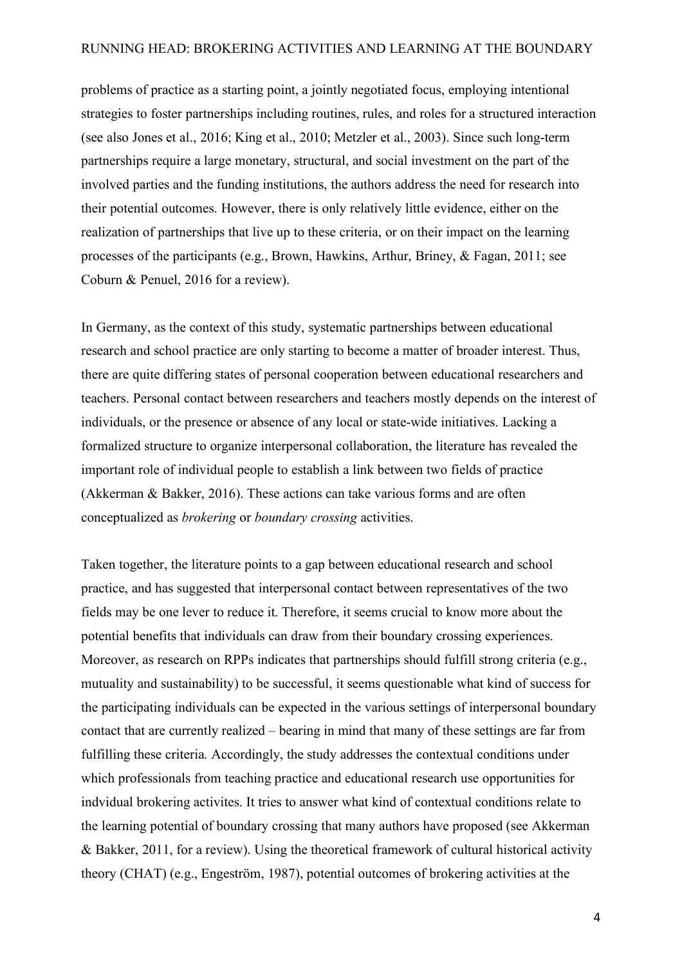problems of practice as a starting point, a jointly negotiated focus, employing intentional strategies to foster partnerships including routines, rules, and roles for a structured interaction (see also Jones et al., 2016; King et al., 2010; Metzler et al., 2003). Since such long-term partnerships require a large monetary, structural, and social investment on the part of the involved parties and the funding institutions, the authors address the need for research into their potential outcomes. However, there is only relatively little evidence, either on the realization of partnerships that live up to these criteria, or on their impact on the learning processes of the participants (e.g., Brown, Hawkins, Arthur, Briney, & Fagan, 2011; see Coburn & Penuel, 2016 for a review).

In Germany, as the context of this study, systematic partnerships between educational research and school practice are only starting to become a matter of broader interest. Thus, there are quite differing states of personal cooperation between educational researchers and teachers. Personal contact between researchers and teachers mostly depends on the interest of individuals, or the presence or absence of any local or state-wide initiatives. Lacking a formalized structure to organize interpersonal collaboration, the literature has revealed the important role of individual people to establish a link between two fields of practice (Akkerman & Bakker, 2016). These actions can take various forms and are often conceptualized as *brokering* or *boundary crossing* activities.

Taken together, the literature points to a gap between educational research and school practice, and has suggested that interpersonal contact between representatives of the two fields may be one lever to reduce it. Therefore, it seems crucial to know more about the potential benefits that individuals can draw from their boundary crossing experiences. Moreover, as research on RPPs indicates that partnerships should fulfill strong criteria (e.g., mutuality and sustainability) to be successful, it seems questionable what kind of success for the participating individuals can be expected in the various settings of interpersonal boundary contact that are currently realized – bearing in mind that many of these settings are far from fulfilling these criteria. Accordingly, the study addresses the contextual conditions under which professionals from teaching practice and educational research use opportunities for indvidual brokering activites. It tries to answer what kind of contextual conditions relate to the learning potential of boundary crossing that many authors have proposed (see Akkerman & Bakker, 2011, for a review). Using the theoretical framework of cultural historical activity theory (CHAT) (e.g., Engeström, 1987), potential outcomes of brokering activities at the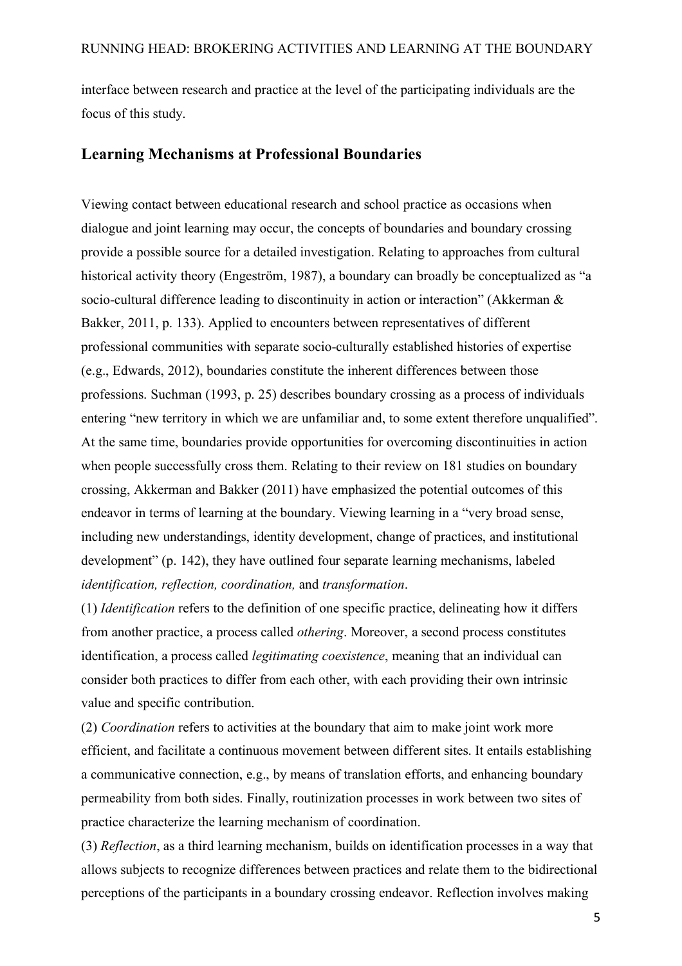interface between research and practice at the level of the participating individuals are the focus of this study.

## **Learning Mechanisms at Professional Boundaries**

Viewing contact between educational research and school practice as occasions when dialogue and joint learning may occur, the concepts of boundaries and boundary crossing provide a possible source for a detailed investigation. Relating to approaches from cultural historical activity theory (Engeström, 1987), a boundary can broadly be conceptualized as "a socio-cultural difference leading to discontinuity in action or interaction" (Akkerman & Bakker, 2011, p. 133). Applied to encounters between representatives of different professional communities with separate socio-culturally established histories of expertise (e.g., Edwards, 2012), boundaries constitute the inherent differences between those professions. Suchman (1993, p. 25) describes boundary crossing as a process of individuals entering "new territory in which we are unfamiliar and, to some extent therefore unqualified". At the same time, boundaries provide opportunities for overcoming discontinuities in action when people successfully cross them. Relating to their review on 181 studies on boundary crossing, Akkerman and Bakker (2011) have emphasized the potential outcomes of this endeavor in terms of learning at the boundary. Viewing learning in a "very broad sense, including new understandings, identity development, change of practices, and institutional development" (p. 142), they have outlined four separate learning mechanisms, labeled *identification, reflection, coordination,* and *transformation*.

(1) *Identification* refers to the definition of one specific practice, delineating how it differs from another practice, a process called *othering*. Moreover, a second process constitutes identification, a process called *legitimating coexistence*, meaning that an individual can consider both practices to differ from each other, with each providing their own intrinsic value and specific contribution.

(2) *Coordination* refers to activities at the boundary that aim to make joint work more efficient, and facilitate a continuous movement between different sites. It entails establishing a communicative connection, e.g., by means of translation efforts, and enhancing boundary permeability from both sides. Finally, routinization processes in work between two sites of practice characterize the learning mechanism of coordination.

(3) *Reflection*, as a third learning mechanism, builds on identification processes in a way that allows subjects to recognize differences between practices and relate them to the bidirectional perceptions of the participants in a boundary crossing endeavor. Reflection involves making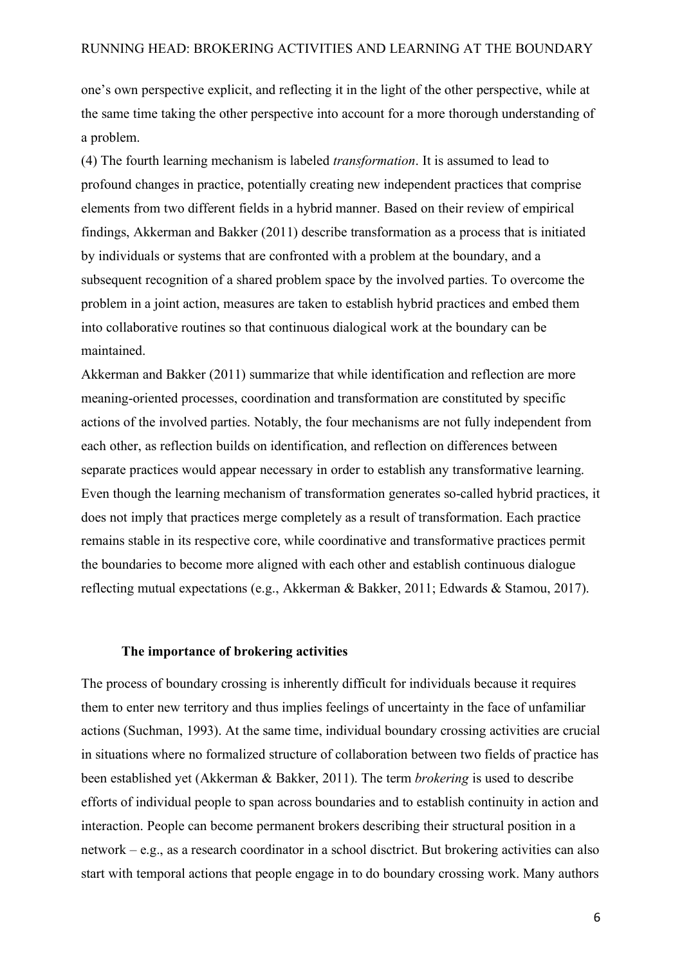one's own perspective explicit, and reflecting it in the light of the other perspective, while at the same time taking the other perspective into account for a more thorough understanding of a problem.

(4) The fourth learning mechanism is labeled *transformation*. It is assumed to lead to profound changes in practice, potentially creating new independent practices that comprise elements from two different fields in a hybrid manner. Based on their review of empirical findings, Akkerman and Bakker (2011) describe transformation as a process that is initiated by individuals or systems that are confronted with a problem at the boundary, and a subsequent recognition of a shared problem space by the involved parties. To overcome the problem in a joint action, measures are taken to establish hybrid practices and embed them into collaborative routines so that continuous dialogical work at the boundary can be maintained.

Akkerman and Bakker (2011) summarize that while identification and reflection are more meaning-oriented processes, coordination and transformation are constituted by specific actions of the involved parties. Notably, the four mechanisms are not fully independent from each other, as reflection builds on identification, and reflection on differences between separate practices would appear necessary in order to establish any transformative learning. Even though the learning mechanism of transformation generates so-called hybrid practices, it does not imply that practices merge completely as a result of transformation. Each practice remains stable in its respective core, while coordinative and transformative practices permit the boundaries to become more aligned with each other and establish continuous dialogue reflecting mutual expectations (e.g., Akkerman & Bakker, 2011; Edwards & Stamou, 2017).

#### **The importance of brokering activities**

The process of boundary crossing is inherently difficult for individuals because it requires them to enter new territory and thus implies feelings of uncertainty in the face of unfamiliar actions (Suchman, 1993). At the same time, individual boundary crossing activities are crucial in situations where no formalized structure of collaboration between two fields of practice has been established yet (Akkerman & Bakker, 2011). The term *brokering* is used to describe efforts of individual people to span across boundaries and to establish continuity in action and interaction. People can become permanent brokers describing their structural position in a network – e.g., as a research coordinator in a school disctrict. But brokering activities can also start with temporal actions that people engage in to do boundary crossing work. Many authors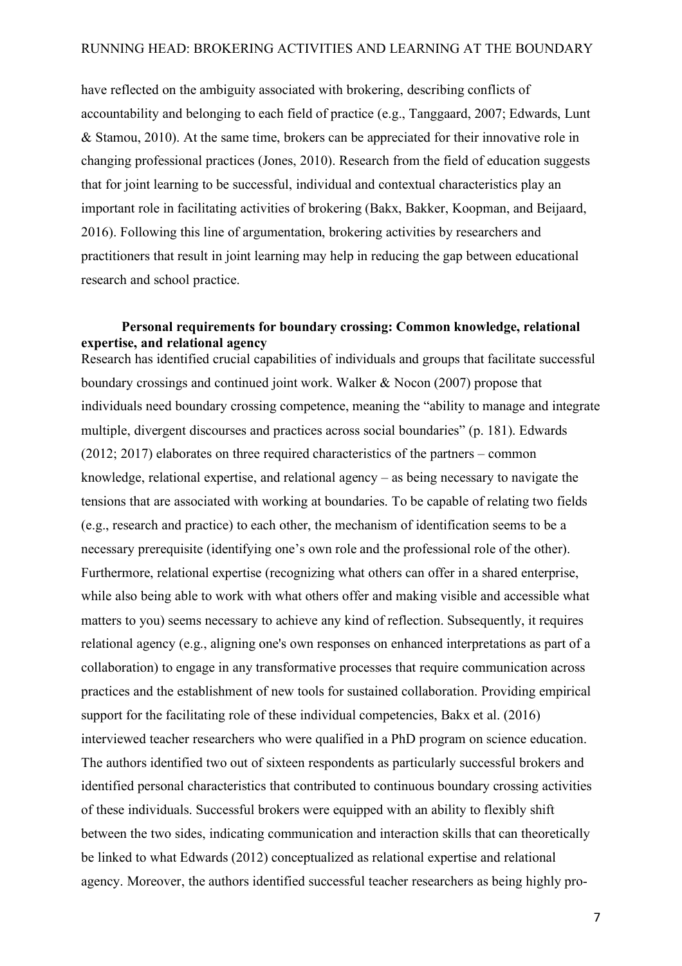have reflected on the ambiguity associated with brokering, describing conflicts of accountability and belonging to each field of practice (e.g., Tanggaard, 2007; Edwards, Lunt & Stamou, 2010). At the same time, brokers can be appreciated for their innovative role in changing professional practices (Jones, 2010). Research from the field of education suggests that for joint learning to be successful, individual and contextual characteristics play an important role in facilitating activities of brokering (Bakx, Bakker, Koopman, and Beijaard, 2016). Following this line of argumentation, brokering activities by researchers and practitioners that result in joint learning may help in reducing the gap between educational research and school practice.

## **Personal requirements for boundary crossing: Common knowledge, relational expertise, and relational agency**

Research has identified crucial capabilities of individuals and groups that facilitate successful boundary crossings and continued joint work. Walker & Nocon (2007) propose that individuals need boundary crossing competence, meaning the "ability to manage and integrate multiple, divergent discourses and practices across social boundaries" (p. 181). Edwards (2012; 2017) elaborates on three required characteristics of the partners – common knowledge, relational expertise, and relational agency – as being necessary to navigate the tensions that are associated with working at boundaries. To be capable of relating two fields (e.g., research and practice) to each other, the mechanism of identification seems to be a necessary prerequisite (identifying one's own role and the professional role of the other). Furthermore, relational expertise (recognizing what others can offer in a shared enterprise, while also being able to work with what others offer and making visible and accessible what matters to you) seems necessary to achieve any kind of reflection. Subsequently, it requires relational agency (e.g., aligning one's own responses on enhanced interpretations as part of a collaboration) to engage in any transformative processes that require communication across practices and the establishment of new tools for sustained collaboration. Providing empirical support for the facilitating role of these individual competencies, Bakx et al. (2016) interviewed teacher researchers who were qualified in a PhD program on science education. The authors identified two out of sixteen respondents as particularly successful brokers and identified personal characteristics that contributed to continuous boundary crossing activities of these individuals. Successful brokers were equipped with an ability to flexibly shift between the two sides, indicating communication and interaction skills that can theoretically be linked to what Edwards (2012) conceptualized as relational expertise and relational agency. Moreover, the authors identified successful teacher researchers as being highly pro-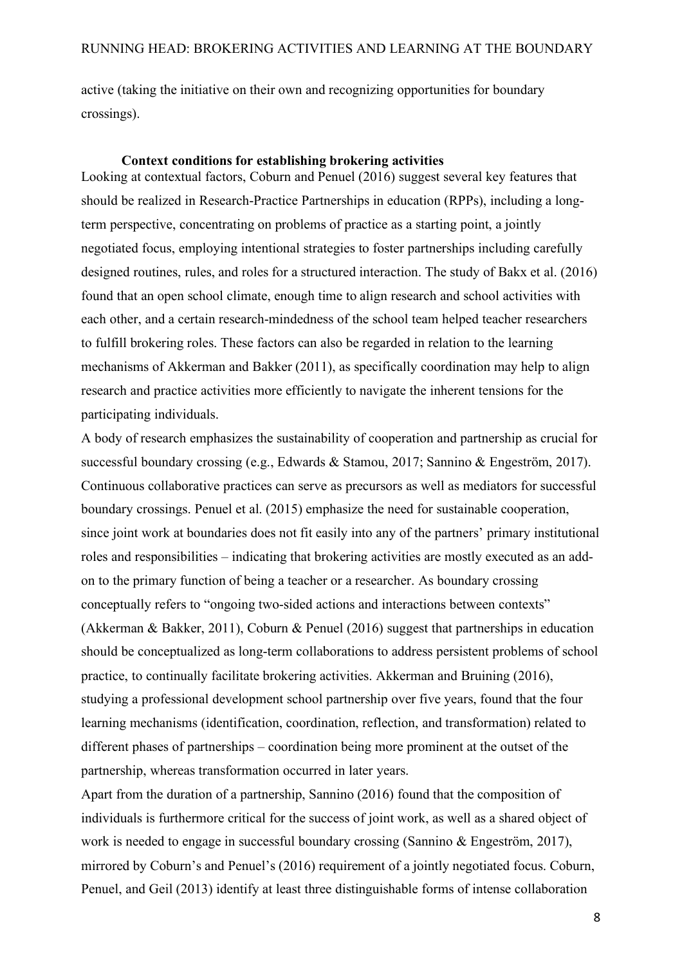active (taking the initiative on their own and recognizing opportunities for boundary crossings).

#### **Context conditions for establishing brokering activities**

Looking at contextual factors, Coburn and Penuel (2016) suggest several key features that should be realized in Research-Practice Partnerships in education (RPPs), including a longterm perspective, concentrating on problems of practice as a starting point, a jointly negotiated focus, employing intentional strategies to foster partnerships including carefully designed routines, rules, and roles for a structured interaction. The study of Bakx et al. (2016) found that an open school climate, enough time to align research and school activities with each other, and a certain research-mindedness of the school team helped teacher researchers to fulfill brokering roles. These factors can also be regarded in relation to the learning mechanisms of Akkerman and Bakker (2011), as specifically coordination may help to align research and practice activities more efficiently to navigate the inherent tensions for the participating individuals.

A body of research emphasizes the sustainability of cooperation and partnership as crucial for successful boundary crossing (e.g., Edwards & Stamou, 2017; Sannino & Engeström, 2017). Continuous collaborative practices can serve as precursors as well as mediators for successful boundary crossings. Penuel et al. (2015) emphasize the need for sustainable cooperation, since joint work at boundaries does not fit easily into any of the partners' primary institutional roles and responsibilities – indicating that brokering activities are mostly executed as an addon to the primary function of being a teacher or a researcher. As boundary crossing conceptually refers to "ongoing two-sided actions and interactions between contexts" (Akkerman & Bakker, 2011), Coburn & Penuel (2016) suggest that partnerships in education should be conceptualized as long-term collaborations to address persistent problems of school practice, to continually facilitate brokering activities. Akkerman and Bruining (2016), studying a professional development school partnership over five years, found that the four learning mechanisms (identification, coordination, reflection, and transformation) related to different phases of partnerships – coordination being more prominent at the outset of the partnership, whereas transformation occurred in later years.

Apart from the duration of a partnership, Sannino (2016) found that the composition of individuals is furthermore critical for the success of joint work, as well as a shared object of work is needed to engage in successful boundary crossing (Sannino & Engeström, 2017), mirrored by Coburn's and Penuel's (2016) requirement of a jointly negotiated focus. Coburn, Penuel, and Geil (2013) identify at least three distinguishable forms of intense collaboration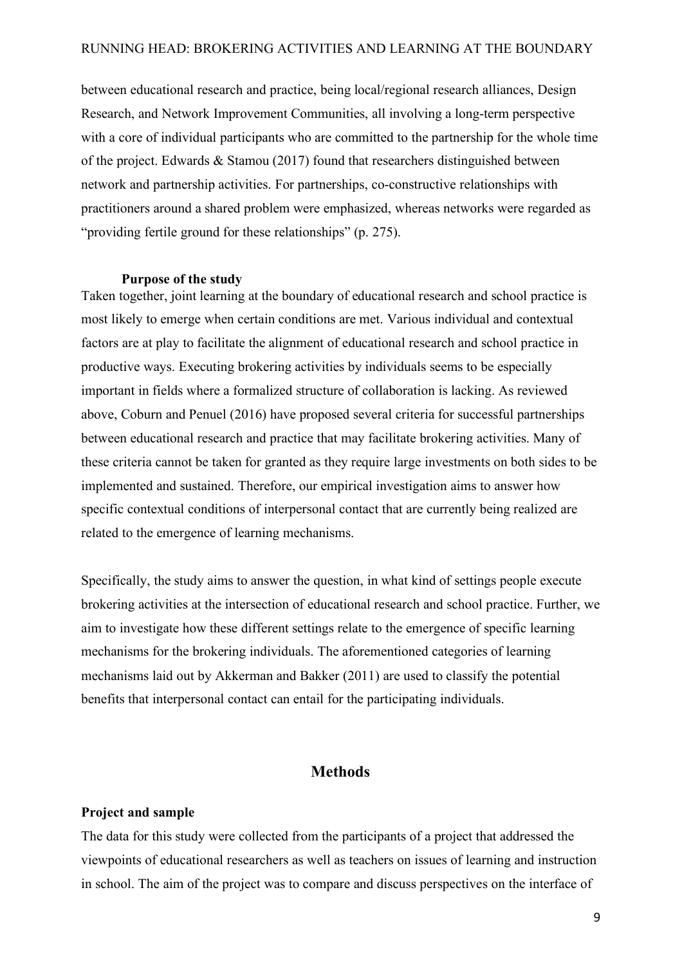between educational research and practice, being local/regional research alliances, Design Research, and Network Improvement Communities, all involving a long-term perspective with a core of individual participants who are committed to the partnership for the whole time of the project. Edwards & Stamou (2017) found that researchers distinguished between network and partnership activities. For partnerships, co-constructive relationships with practitioners around a shared problem were emphasized, whereas networks were regarded as "providing fertile ground for these relationships" (p. 275).

#### **Purpose of the study**

Taken together, joint learning at the boundary of educational research and school practice is most likely to emerge when certain conditions are met. Various individual and contextual factors are at play to facilitate the alignment of educational research and school practice in productive ways. Executing brokering activities by individuals seems to be especially important in fields where a formalized structure of collaboration is lacking. As reviewed above, Coburn and Penuel (2016) have proposed several criteria for successful partnerships between educational research and practice that may facilitate brokering activities. Many of these criteria cannot be taken for granted as they require large investments on both sides to be implemented and sustained. Therefore, our empirical investigation aims to answer how specific contextual conditions of interpersonal contact that are currently being realized are related to the emergence of learning mechanisms.

Specifically, the study aims to answer the question, in what kind of settings people execute brokering activities at the intersection of educational research and school practice. Further, we aim to investigate how these different settings relate to the emergence of specific learning mechanisms for the brokering individuals. The aforementioned categories of learning mechanisms laid out by Akkerman and Bakker (2011) are used to classify the potential benefits that interpersonal contact can entail for the participating individuals.

#### **Methods**

#### **Project and sample**

The data for this study were collected from the participants of a project that addressed the viewpoints of educational researchers as well as teachers on issues of learning and instruction in school. The aim of the project was to compare and discuss perspectives on the interface of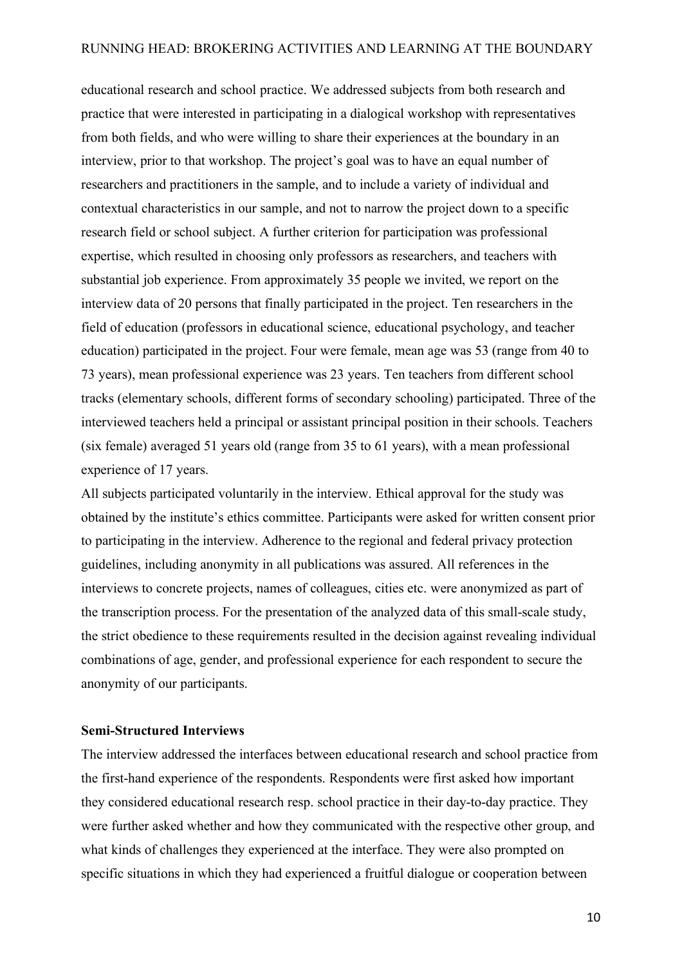educational research and school practice. We addressed subjects from both research and practice that were interested in participating in a dialogical workshop with representatives from both fields, and who were willing to share their experiences at the boundary in an interview, prior to that workshop. The project's goal was to have an equal number of researchers and practitioners in the sample, and to include a variety of individual and contextual characteristics in our sample, and not to narrow the project down to a specific research field or school subject. A further criterion for participation was professional expertise, which resulted in choosing only professors as researchers, and teachers with substantial job experience. From approximately 35 people we invited, we report on the interview data of 20 persons that finally participated in the project. Ten researchers in the field of education (professors in educational science, educational psychology, and teacher education) participated in the project. Four were female, mean age was 53 (range from 40 to 73 years), mean professional experience was 23 years. Ten teachers from different school tracks (elementary schools, different forms of secondary schooling) participated. Three of the interviewed teachers held a principal or assistant principal position in their schools. Teachers (six female) averaged 51 years old (range from 35 to 61 years), with a mean professional experience of 17 years.

All subjects participated voluntarily in the interview. Ethical approval for the study was obtained by the institute's ethics committee. Participants were asked for written consent prior to participating in the interview. Adherence to the regional and federal privacy protection guidelines, including anonymity in all publications was assured. All references in the interviews to concrete projects, names of colleagues, cities etc. were anonymized as part of the transcription process. For the presentation of the analyzed data of this small-scale study, the strict obedience to these requirements resulted in the decision against revealing individual combinations of age, gender, and professional experience for each respondent to secure the anonymity of our participants.

#### **Semi-Structured Interviews**

The interview addressed the interfaces between educational research and school practice from the first-hand experience of the respondents. Respondents were first asked how important they considered educational research resp. school practice in their day-to-day practice. They were further asked whether and how they communicated with the respective other group, and what kinds of challenges they experienced at the interface. They were also prompted on specific situations in which they had experienced a fruitful dialogue or cooperation between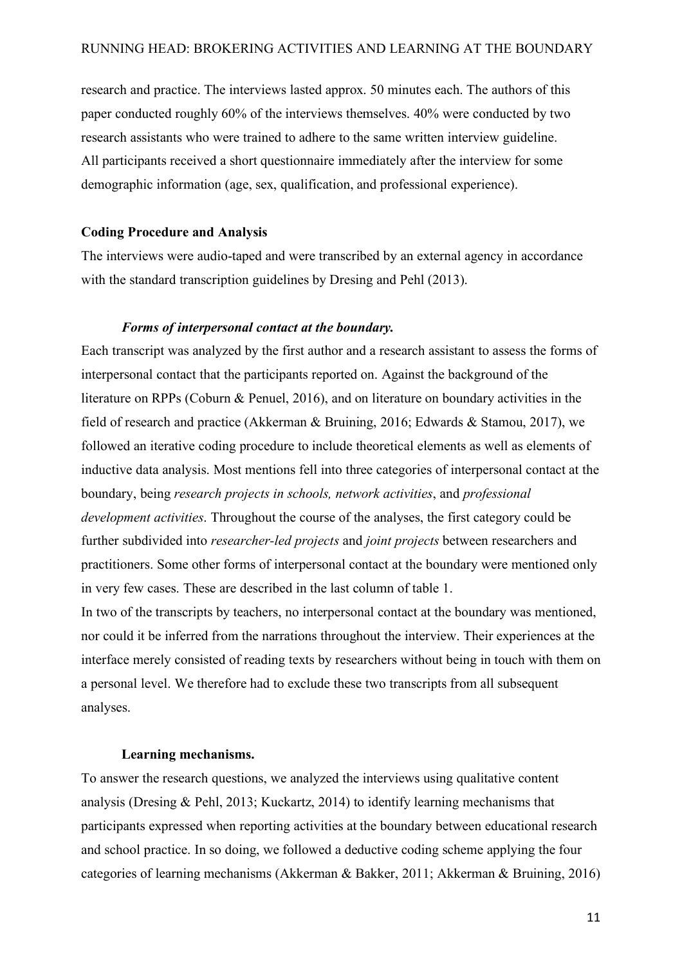research and practice. The interviews lasted approx. 50 minutes each. The authors of this paper conducted roughly 60% of the interviews themselves. 40% were conducted by two research assistants who were trained to adhere to the same written interview guideline. All participants received a short questionnaire immediately after the interview for some demographic information (age, sex, qualification, and professional experience).

#### **Coding Procedure and Analysis**

The interviews were audio-taped and were transcribed by an external agency in accordance with the standard transcription guidelines by Dresing and Pehl (2013).

#### *Forms of interpersonal contact at the boundary.*

Each transcript was analyzed by the first author and a research assistant to assess the forms of interpersonal contact that the participants reported on. Against the background of the literature on RPPs (Coburn & Penuel, 2016), and on literature on boundary activities in the field of research and practice (Akkerman & Bruining, 2016; Edwards & Stamou, 2017), we followed an iterative coding procedure to include theoretical elements as well as elements of inductive data analysis. Most mentions fell into three categories of interpersonal contact at the boundary, being *research projects in schools, network activities*, and *professional development activities*. Throughout the course of the analyses, the first category could be further subdivided into *researcher-led projects* and *joint projects* between researchers and practitioners. Some other forms of interpersonal contact at the boundary were mentioned only in very few cases. These are described in the last column of table 1.

In two of the transcripts by teachers, no interpersonal contact at the boundary was mentioned, nor could it be inferred from the narrations throughout the interview. Their experiences at the interface merely consisted of reading texts by researchers without being in touch with them on a personal level. We therefore had to exclude these two transcripts from all subsequent analyses.

#### **Learning mechanisms.**

To answer the research questions, we analyzed the interviews using qualitative content analysis (Dresing & Pehl, 2013; Kuckartz, 2014) to identify learning mechanisms that participants expressed when reporting activities at the boundary between educational research and school practice. In so doing, we followed a deductive coding scheme applying the four categories of learning mechanisms (Akkerman & Bakker, 2011; Akkerman & Bruining, 2016)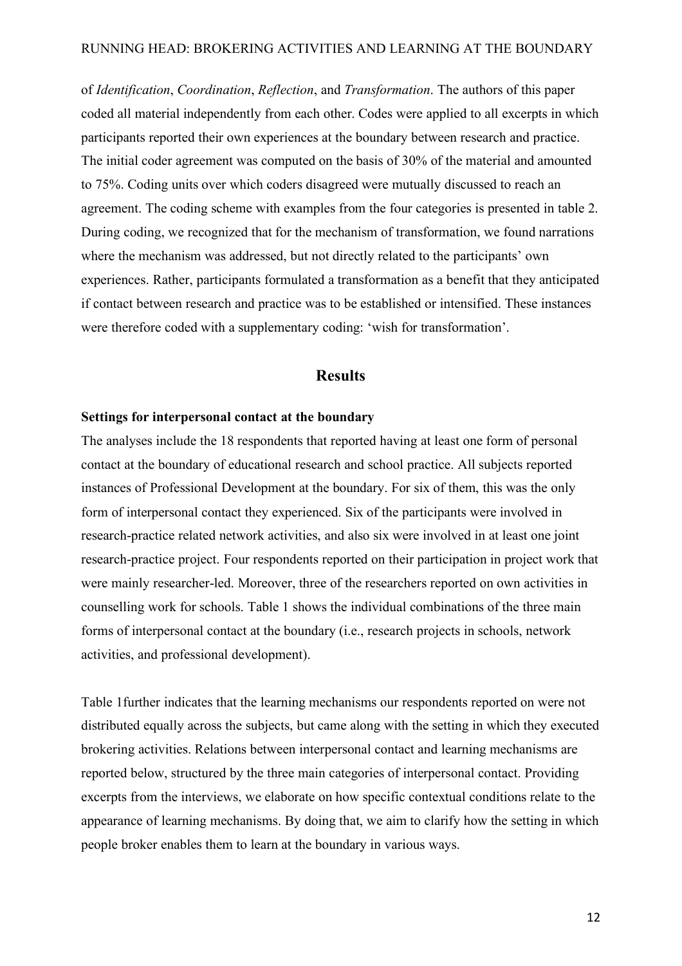of *Identification*, *Coordination*, *Reflection*, and *Transformation*. The authors of this paper coded all material independently from each other. Codes were applied to all excerpts in which participants reported their own experiences at the boundary between research and practice. The initial coder agreement was computed on the basis of 30% of the material and amounted to 75%. Coding units over which coders disagreed were mutually discussed to reach an agreement. The coding scheme with examples from the four categories is presented in table 2. During coding, we recognized that for the mechanism of transformation, we found narrations where the mechanism was addressed, but not directly related to the participants' own experiences. Rather, participants formulated a transformation as a benefit that they anticipated if contact between research and practice was to be established or intensified. These instances were therefore coded with a supplementary coding: 'wish for transformation'.

#### **Results**

#### **Settings for interpersonal contact at the boundary**

The analyses include the 18 respondents that reported having at least one form of personal contact at the boundary of educational research and school practice. All subjects reported instances of Professional Development at the boundary. For six of them, this was the only form of interpersonal contact they experienced. Six of the participants were involved in research-practice related network activities, and also six were involved in at least one joint research-practice project. Four respondents reported on their participation in project work that were mainly researcher-led. Moreover, three of the researchers reported on own activities in counselling work for schools. Table 1 shows the individual combinations of the three main forms of interpersonal contact at the boundary (i.e., research projects in schools, network activities, and professional development).

Table 1further indicates that the learning mechanisms our respondents reported on were not distributed equally across the subjects, but came along with the setting in which they executed brokering activities. Relations between interpersonal contact and learning mechanisms are reported below, structured by the three main categories of interpersonal contact. Providing excerpts from the interviews, we elaborate on how specific contextual conditions relate to the appearance of learning mechanisms. By doing that, we aim to clarify how the setting in which people broker enables them to learn at the boundary in various ways.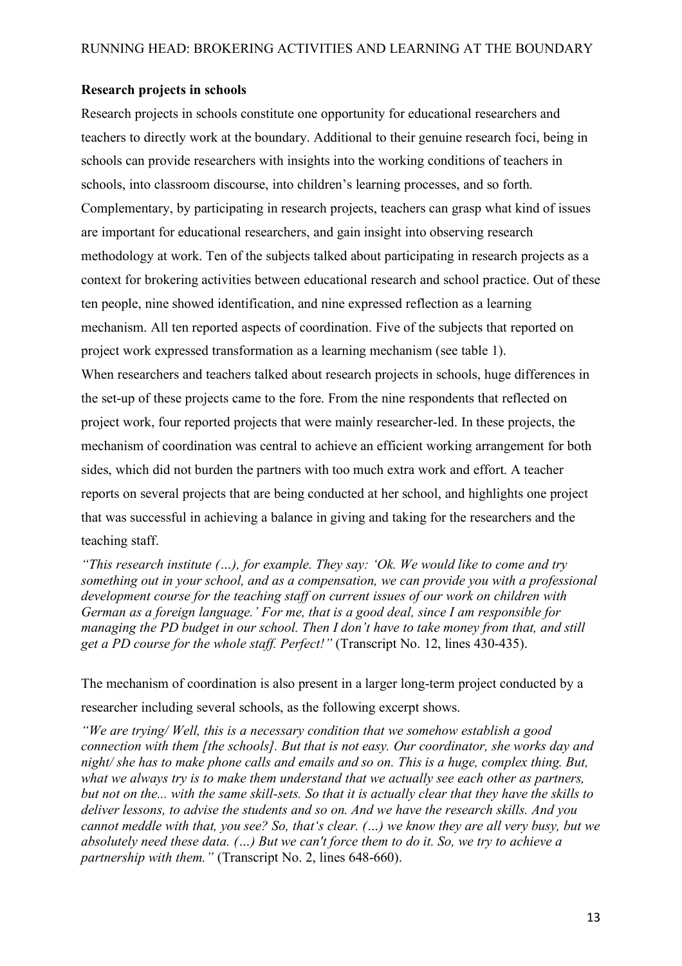#### **Research projects in schools**

Research projects in schools constitute one opportunity for educational researchers and teachers to directly work at the boundary. Additional to their genuine research foci, being in schools can provide researchers with insights into the working conditions of teachers in schools, into classroom discourse, into children's learning processes, and so forth. Complementary, by participating in research projects, teachers can grasp what kind of issues are important for educational researchers, and gain insight into observing research methodology at work. Ten of the subjects talked about participating in research projects as a context for brokering activities between educational research and school practice. Out of these ten people, nine showed identification, and nine expressed reflection as a learning mechanism. All ten reported aspects of coordination. Five of the subjects that reported on project work expressed transformation as a learning mechanism (see table 1). When researchers and teachers talked about research projects in schools, huge differences in the set-up of these projects came to the fore. From the nine respondents that reflected on project work, four reported projects that were mainly researcher-led. In these projects, the mechanism of coordination was central to achieve an efficient working arrangement for both sides, which did not burden the partners with too much extra work and effort. A teacher reports on several projects that are being conducted at her school, and highlights one project that was successful in achieving a balance in giving and taking for the researchers and the teaching staff.

*"This research institute (…), for example. They say: 'Ok. We would like to come and try something out in your school, and as a compensation, we can provide you with a professional development course for the teaching staff on current issues of our work on children with German as a foreign language.' For me, that is a good deal, since I am responsible for managing the PD budget in our school. Then I don't have to take money from that, and still get a PD course for the whole staff. Perfect!"* (Transcript No. 12, lines 430-435).

The mechanism of coordination is also present in a larger long-term project conducted by a researcher including several schools, as the following excerpt shows.

*"We are trying/ Well, this is a necessary condition that we somehow establish a good connection with them [the schools]. But that is not easy. Our coordinator, she works day and night/ she has to make phone calls and emails and so on. This is a huge, complex thing. But, what we always try is to make them understand that we actually see each other as partners, but not on the... with the same skill-sets. So that it is actually clear that they have the skills to deliver lessons, to advise the students and so on. And we have the research skills. And you cannot meddle with that, you see? So, that's clear. (…) we know they are all very busy, but we absolutely need these data. (…) But we can't force them to do it. So, we try to achieve a partnership with them."* (Transcript No. 2, lines 648-660).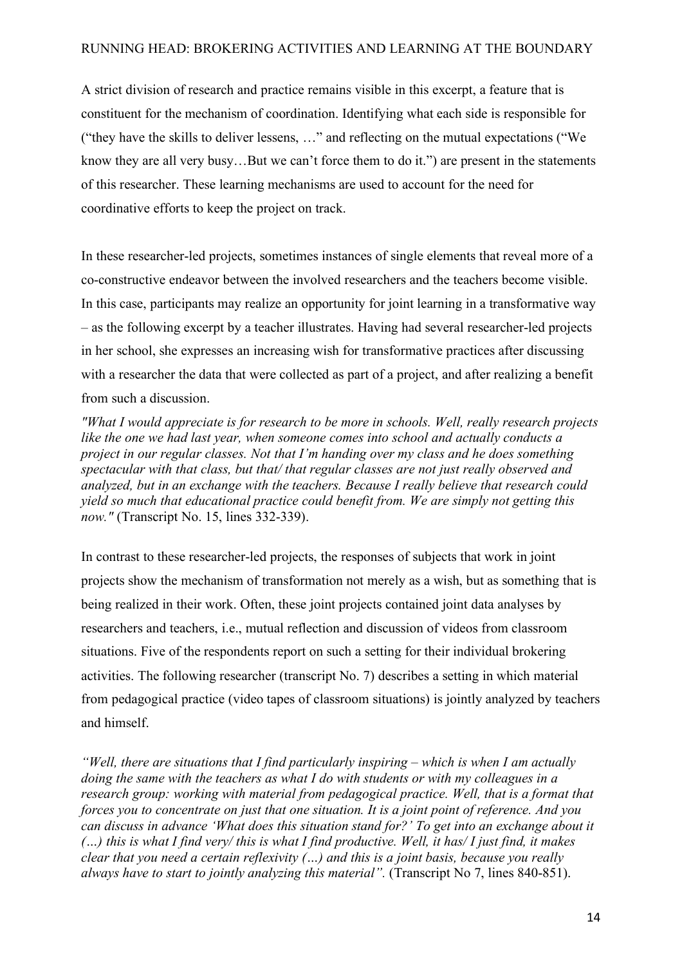A strict division of research and practice remains visible in this excerpt, a feature that is constituent for the mechanism of coordination. Identifying what each side is responsible for ("they have the skills to deliver lessens, …" and reflecting on the mutual expectations ("We know they are all very busy…But we can't force them to do it.") are present in the statements of this researcher. These learning mechanisms are used to account for the need for coordinative efforts to keep the project on track.

In these researcher-led projects, sometimes instances of single elements that reveal more of a co-constructive endeavor between the involved researchers and the teachers become visible. In this case, participants may realize an opportunity for joint learning in a transformative way – as the following excerpt by a teacher illustrates. Having had several researcher-led projects in her school, she expresses an increasing wish for transformative practices after discussing with a researcher the data that were collected as part of a project, and after realizing a benefit from such a discussion.

*"What I would appreciate is for research to be more in schools. Well, really research projects like the one we had last year, when someone comes into school and actually conducts a project in our regular classes. Not that I'm handing over my class and he does something spectacular with that class, but that/ that regular classes are not just really observed and analyzed, but in an exchange with the teachers. Because I really believe that research could yield so much that educational practice could benefit from. We are simply not getting this now."* (Transcript No. 15, lines 332-339).

In contrast to these researcher-led projects, the responses of subjects that work in joint projects show the mechanism of transformation not merely as a wish, but as something that is being realized in their work. Often, these joint projects contained joint data analyses by researchers and teachers, i.e., mutual reflection and discussion of videos from classroom situations. Five of the respondents report on such a setting for their individual brokering activities. The following researcher (transcript No. 7) describes a setting in which material from pedagogical practice (video tapes of classroom situations) is jointly analyzed by teachers and himself.

*"Well, there are situations that I find particularly inspiring – which is when I am actually doing the same with the teachers as what I do with students or with my colleagues in a research group: working with material from pedagogical practice. Well, that is a format that forces you to concentrate on just that one situation. It is a joint point of reference. And you can discuss in advance 'What does this situation stand for?' To get into an exchange about it (…) this is what I find very/ this is what I find productive. Well, it has/ I just find, it makes clear that you need a certain reflexivity (…) and this is a joint basis, because you really always have to start to jointly analyzing this material".* (Transcript No 7, lines 840-851).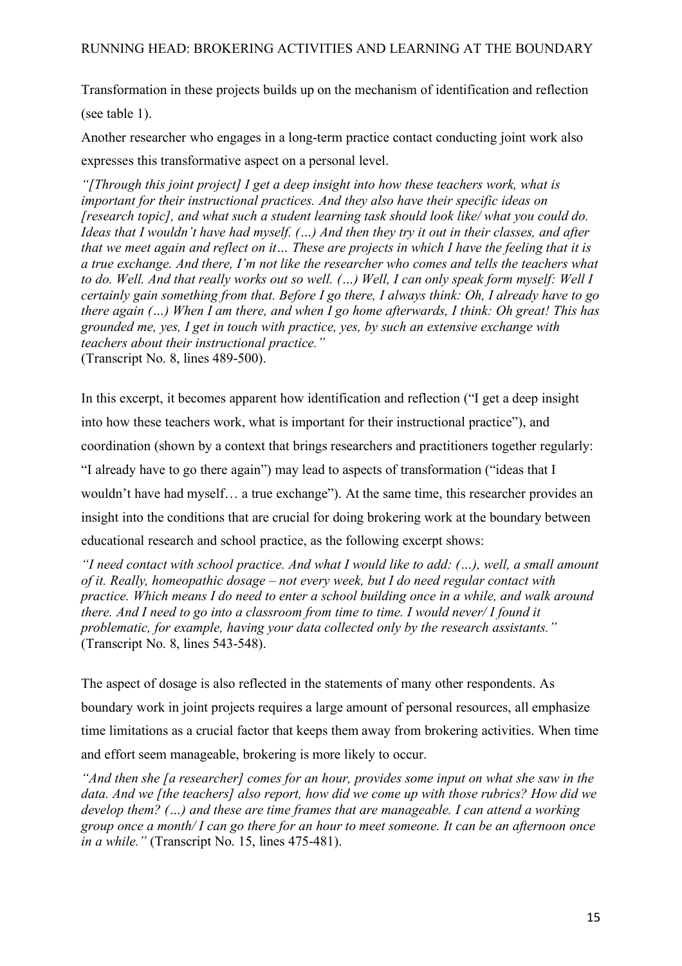Transformation in these projects builds up on the mechanism of identification and reflection

(see table 1).

Another researcher who engages in a long-term practice contact conducting joint work also expresses this transformative aspect on a personal level.

*"[Through this joint project] I get a deep insight into how these teachers work, what is important for their instructional practices. And they also have their specific ideas on [research topic], and what such a student learning task should look like/ what you could do. Ideas that I wouldn't have had myself. (…) And then they try it out in their classes, and after that we meet again and reflect on it… These are projects in which I have the feeling that it is a true exchange. And there, I'm not like the researcher who comes and tells the teachers what to do. Well. And that really works out so well. (…) Well, I can only speak form myself: Well I certainly gain something from that. Before I go there, I always think: Oh, I already have to go there again (…) When I am there, and when I go home afterwards, I think: Oh great! This has grounded me, yes, I get in touch with practice, yes, by such an extensive exchange with teachers about their instructional practice."*  (Transcript No. 8, lines 489-500).

In this excerpt, it becomes apparent how identification and reflection ("I get a deep insight into how these teachers work, what is important for their instructional practice"), and coordination (shown by a context that brings researchers and practitioners together regularly: "I already have to go there again") may lead to aspects of transformation ("ideas that I wouldn't have had myself… a true exchange"). At the same time, this researcher provides an insight into the conditions that are crucial for doing brokering work at the boundary between educational research and school practice, as the following excerpt shows:

*"I need contact with school practice. And what I would like to add: (…), well, a small amount of it. Really, homeopathic dosage – not every week, but I do need regular contact with practice. Which means I do need to enter a school building once in a while, and walk around there. And I need to go into a classroom from time to time. I would never/ I found it problematic, for example, having your data collected only by the research assistants."* (Transcript No. 8, lines 543-548).

The aspect of dosage is also reflected in the statements of many other respondents. As boundary work in joint projects requires a large amount of personal resources, all emphasize time limitations as a crucial factor that keeps them away from brokering activities. When time and effort seem manageable, brokering is more likely to occur.

*"And then she [a researcher] comes for an hour, provides some input on what she saw in the data. And we [the teachers] also report, how did we come up with those rubrics? How did we develop them? (…) and these are time frames that are manageable. I can attend a working group once a month/ I can go there for an hour to meet someone. It can be an afternoon once in a while."* (Transcript No. 15, lines 475-481).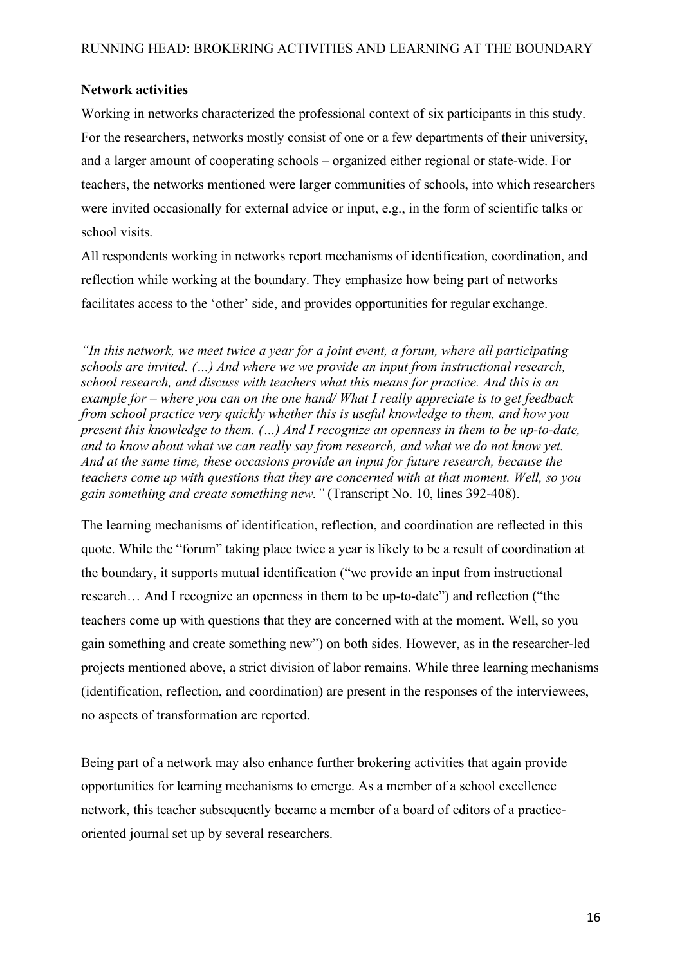## **Network activities**

Working in networks characterized the professional context of six participants in this study. For the researchers, networks mostly consist of one or a few departments of their university, and a larger amount of cooperating schools – organized either regional or state-wide. For teachers, the networks mentioned were larger communities of schools, into which researchers were invited occasionally for external advice or input, e.g., in the form of scientific talks or school visits.

All respondents working in networks report mechanisms of identification, coordination, and reflection while working at the boundary. They emphasize how being part of networks facilitates access to the 'other' side, and provides opportunities for regular exchange.

*"In this network, we meet twice a year for a joint event, a forum, where all participating schools are invited. (…) And where we we provide an input from instructional research, school research, and discuss with teachers what this means for practice. And this is an example for – where you can on the one hand/ What I really appreciate is to get feedback from school practice very quickly whether this is useful knowledge to them, and how you present this knowledge to them. (…) And I recognize an openness in them to be up-to-date, and to know about what we can really say from research, and what we do not know yet. And at the same time, these occasions provide an input for future research, because the teachers come up with questions that they are concerned with at that moment. Well, so you gain something and create something new."* (Transcript No. 10, lines 392-408).

The learning mechanisms of identification, reflection, and coordination are reflected in this quote. While the "forum" taking place twice a year is likely to be a result of coordination at the boundary, it supports mutual identification ("we provide an input from instructional research… And I recognize an openness in them to be up-to-date") and reflection ("the teachers come up with questions that they are concerned with at the moment. Well, so you gain something and create something new") on both sides. However, as in the researcher-led projects mentioned above, a strict division of labor remains. While three learning mechanisms (identification, reflection, and coordination) are present in the responses of the interviewees, no aspects of transformation are reported.

Being part of a network may also enhance further brokering activities that again provide opportunities for learning mechanisms to emerge. As a member of a school excellence network, this teacher subsequently became a member of a board of editors of a practiceoriented journal set up by several researchers.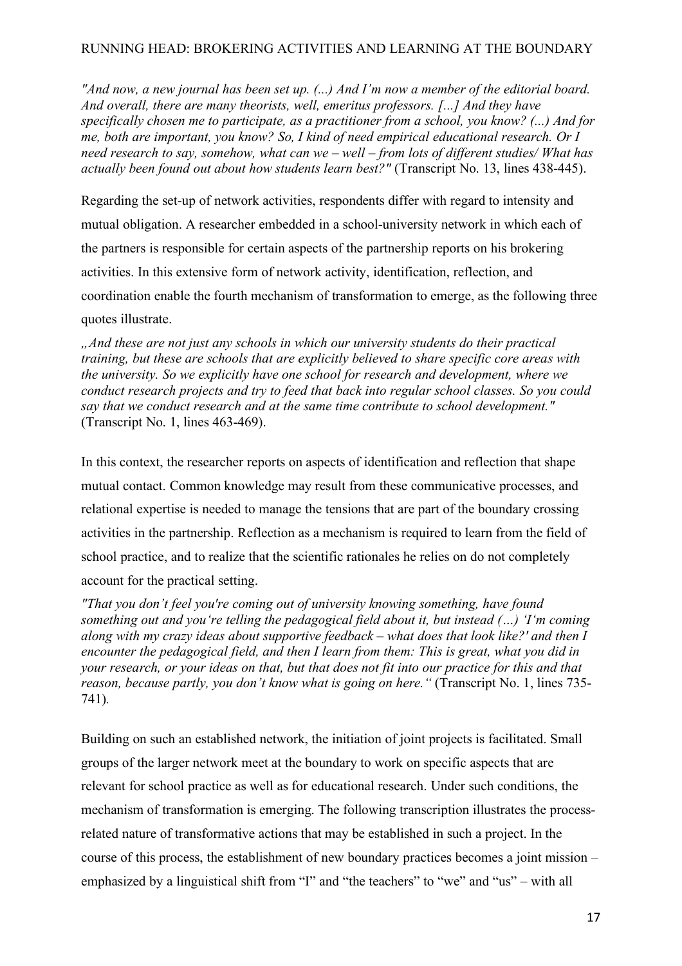*"And now, a new journal has been set up. (...) And I'm now a member of the editorial board. And overall, there are many theorists, well, emeritus professors. [...] And they have specifically chosen me to participate, as a practitioner from a school, you know? (...) And for me, both are important, you know? So, I kind of need empirical educational research. Or I need research to say, somehow, what can we – well – from lots of different studies/ What has actually been found out about how students learn best?"* (Transcript No. 13, lines 438-445).

Regarding the set-up of network activities, respondents differ with regard to intensity and mutual obligation. A researcher embedded in a school-university network in which each of the partners is responsible for certain aspects of the partnership reports on his brokering activities. In this extensive form of network activity, identification, reflection, and coordination enable the fourth mechanism of transformation to emerge, as the following three quotes illustrate.

*"And these are not just any schools in which our university students do their practical training, but these are schools that are explicitly believed to share specific core areas with the university. So we explicitly have one school for research and development, where we conduct research projects and try to feed that back into regular school classes. So you could say that we conduct research and at the same time contribute to school development."*  (Transcript No. 1, lines 463-469).

In this context, the researcher reports on aspects of identification and reflection that shape mutual contact. Common knowledge may result from these communicative processes, and relational expertise is needed to manage the tensions that are part of the boundary crossing activities in the partnership. Reflection as a mechanism is required to learn from the field of school practice, and to realize that the scientific rationales he relies on do not completely account for the practical setting.

*"That you don't feel you're coming out of university knowing something, have found something out and you're telling the pedagogical field about it, but instead (…) 'I'm coming along with my crazy ideas about supportive feedback – what does that look like?' and then I encounter the pedagogical field, and then I learn from them: This is great, what you did in your research, or your ideas on that, but that does not fit into our practice for this and that reason, because partly, you don't know what is going on here.* " (Transcript No. 1, lines 735-741)*.*

Building on such an established network, the initiation of joint projects is facilitated. Small groups of the larger network meet at the boundary to work on specific aspects that are relevant for school practice as well as for educational research. Under such conditions, the mechanism of transformation is emerging. The following transcription illustrates the processrelated nature of transformative actions that may be established in such a project. In the course of this process, the establishment of new boundary practices becomes a joint mission – emphasized by a linguistical shift from "I" and "the teachers" to "we" and "us" – with all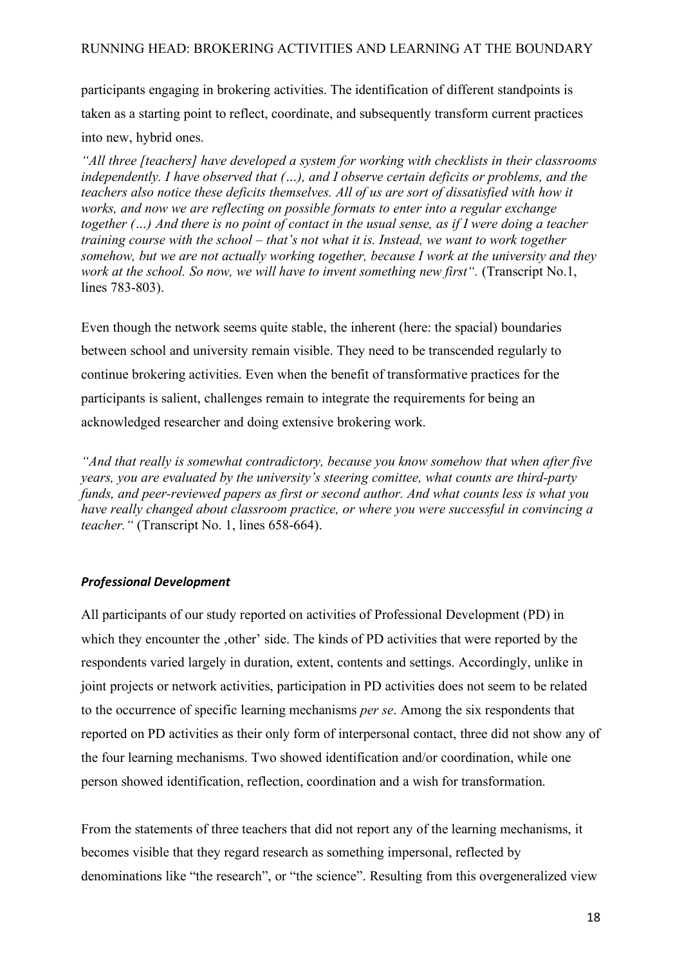participants engaging in brokering activities. The identification of different standpoints is taken as a starting point to reflect, coordinate, and subsequently transform current practices into new, hybrid ones.

*"All three [teachers] have developed a system for working with checklists in their classrooms independently. I have observed that (…), and I observe certain deficits or problems, and the teachers also notice these deficits themselves. All of us are sort of dissatisfied with how it works, and now we are reflecting on possible formats to enter into a regular exchange together (…) And there is no point of contact in the usual sense, as if I were doing a teacher training course with the school – that's not what it is. Instead, we want to work together somehow, but we are not actually working together, because I work at the university and they work at the school. So now, we will have to invent something new first".* (Transcript No.1, lines 783-803).

Even though the network seems quite stable, the inherent (here: the spacial) boundaries between school and university remain visible. They need to be transcended regularly to continue brokering activities. Even when the benefit of transformative practices for the participants is salient, challenges remain to integrate the requirements for being an acknowledged researcher and doing extensive brokering work.

*"And that really is somewhat contradictory, because you know somehow that when after five years, you are evaluated by the university's steering comittee, what counts are third-party funds, and peer-reviewed papers as first or second author. And what counts less is what you have really changed about classroom practice, or where you were successful in convincing a teacher."* (Transcript No. 1, lines 658-664).

#### *Professional Development*

All participants of our study reported on activities of Professional Development (PD) in which they encounter the , other' side. The kinds of PD activities that were reported by the respondents varied largely in duration, extent, contents and settings. Accordingly, unlike in joint projects or network activities, participation in PD activities does not seem to be related to the occurrence of specific learning mechanisms *per se*. Among the six respondents that reported on PD activities as their only form of interpersonal contact, three did not show any of the four learning mechanisms. Two showed identification and/or coordination, while one person showed identification, reflection, coordination and a wish for transformation.

From the statements of three teachers that did not report any of the learning mechanisms, it becomes visible that they regard research as something impersonal, reflected by denominations like "the research", or "the science". Resulting from this overgeneralized view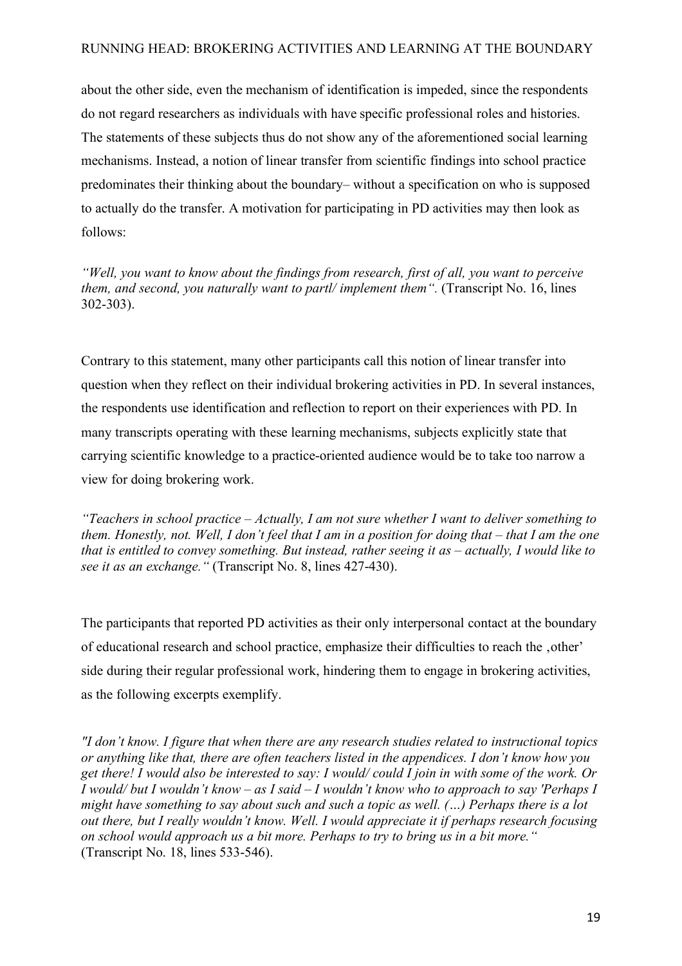about the other side, even the mechanism of identification is impeded, since the respondents do not regard researchers as individuals with have specific professional roles and histories. The statements of these subjects thus do not show any of the aforementioned social learning mechanisms. Instead, a notion of linear transfer from scientific findings into school practice predominates their thinking about the boundary– without a specification on who is supposed to actually do the transfer. A motivation for participating in PD activities may then look as follows:

*"Well, you want to know about the findings from research, first of all, you want to perceive them, and second, you naturally want to partl/ implement them".* (Transcript No. 16, lines 302-303).

Contrary to this statement, many other participants call this notion of linear transfer into question when they reflect on their individual brokering activities in PD. In several instances, the respondents use identification and reflection to report on their experiences with PD. In many transcripts operating with these learning mechanisms, subjects explicitly state that carrying scientific knowledge to a practice-oriented audience would be to take too narrow a view for doing brokering work.

*"Teachers in school practice – Actually, I am not sure whether I want to deliver something to them. Honestly, not. Well, I don't feel that I am in a position for doing that – that I am the one that is entitled to convey something. But instead, rather seeing it as – actually, I would like to see it as an exchange."* (Transcript No. 8, lines 427-430).

The participants that reported PD activities as their only interpersonal contact at the boundary of educational research and school practice, emphasize their difficulties to reach the 'other' side during their regular professional work, hindering them to engage in brokering activities, as the following excerpts exemplify.

*"I don't know. I figure that when there are any research studies related to instructional topics or anything like that, there are often teachers listed in the appendices. I don't know how you get there! I would also be interested to say: I would/ could I join in with some of the work. Or I would/ but I wouldn't know – as I said – I wouldn't know who to approach to say 'Perhaps I might have something to say about such and such a topic as well. (…) Perhaps there is a lot out there, but I really wouldn't know. Well. I would appreciate it if perhaps research focusing on school would approach us a bit more. Perhaps to try to bring us in a bit more."*  (Transcript No. 18, lines 533-546).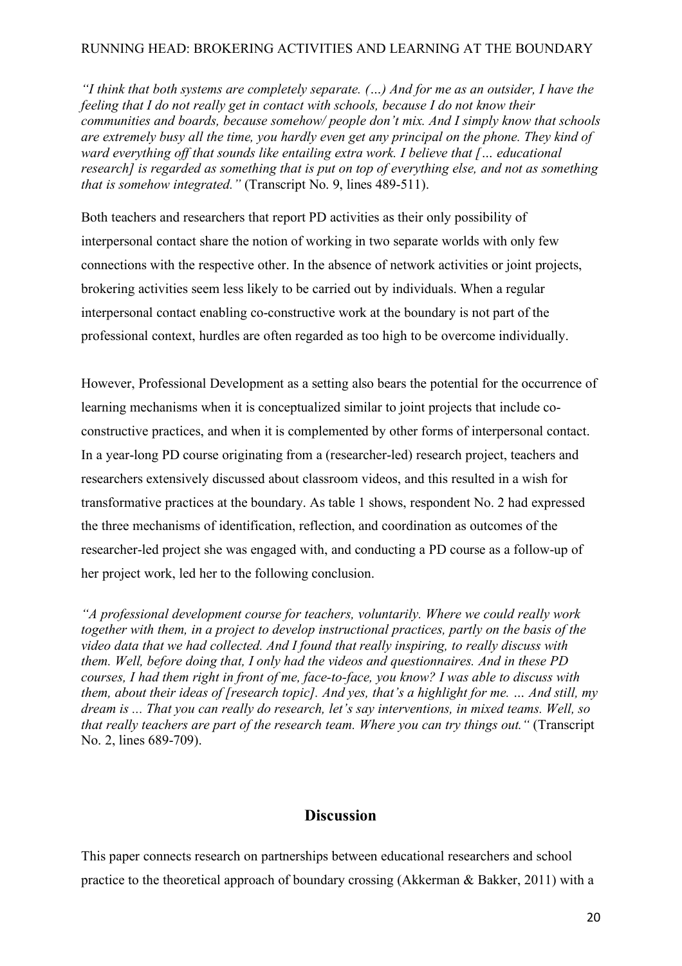*"I think that both systems are completely separate. (…) And for me as an outsider, I have the feeling that I do not really get in contact with schools, because I do not know their communities and boards, because somehow/ people don't mix. And I simply know that schools are extremely busy all the time, you hardly even get any principal on the phone. They kind of ward everything off that sounds like entailing extra work. I believe that [… educational research] is regarded as something that is put on top of everything else, and not as something that is somehow integrated."* (Transcript No. 9, lines 489-511).

Both teachers and researchers that report PD activities as their only possibility of interpersonal contact share the notion of working in two separate worlds with only few connections with the respective other. In the absence of network activities or joint projects, brokering activities seem less likely to be carried out by individuals. When a regular interpersonal contact enabling co-constructive work at the boundary is not part of the professional context, hurdles are often regarded as too high to be overcome individually.

However, Professional Development as a setting also bears the potential for the occurrence of learning mechanisms when it is conceptualized similar to joint projects that include coconstructive practices, and when it is complemented by other forms of interpersonal contact. In a year-long PD course originating from a (researcher-led) research project, teachers and researchers extensively discussed about classroom videos, and this resulted in a wish for transformative practices at the boundary. As table 1 shows, respondent No. 2 had expressed the three mechanisms of identification, reflection, and coordination as outcomes of the researcher-led project she was engaged with, and conducting a PD course as a follow-up of her project work, led her to the following conclusion.

*"A professional development course for teachers, voluntarily. Where we could really work together with them, in a project to develop instructional practices, partly on the basis of the video data that we had collected. And I found that really inspiring, to really discuss with them. Well, before doing that, I only had the videos and questionnaires. And in these PD courses, I had them right in front of me, face-to-face, you know? I was able to discuss with them, about their ideas of [research topic]. And yes, that's a highlight for me. … And still, my dream is ... That you can really do research, let's say interventions, in mixed teams. Well, so that really teachers are part of the research team. Where you can try things out."* (Transcript No. 2, lines 689-709).

## **Discussion**

This paper connects research on partnerships between educational researchers and school practice to the theoretical approach of boundary crossing (Akkerman & Bakker, 2011) with a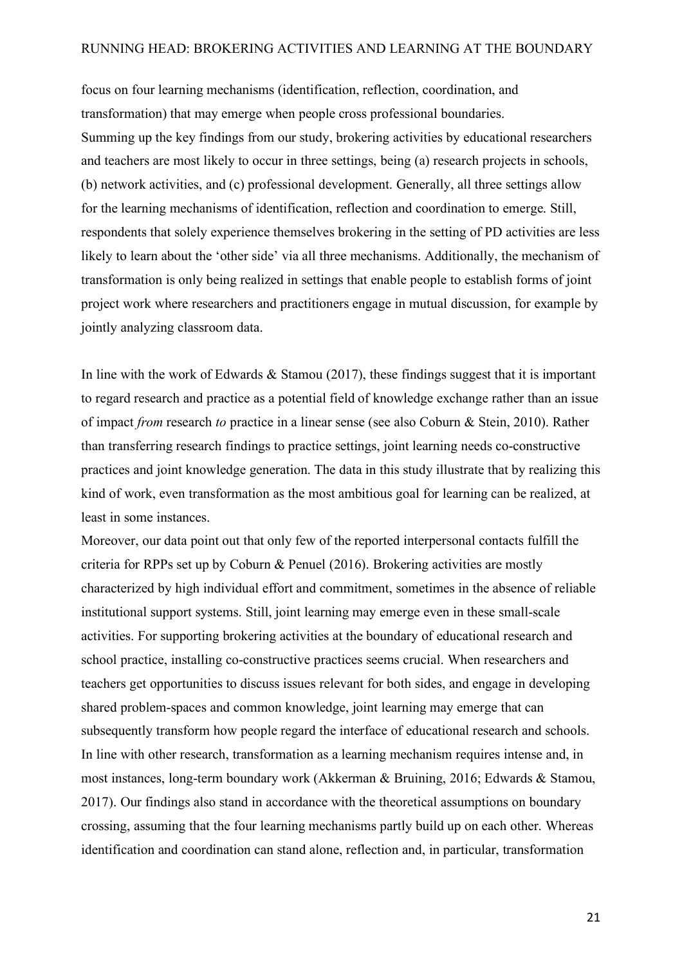focus on four learning mechanisms (identification, reflection, coordination, and transformation) that may emerge when people cross professional boundaries. Summing up the key findings from our study, brokering activities by educational researchers and teachers are most likely to occur in three settings, being (a) research projects in schools, (b) network activities, and (c) professional development. Generally, all three settings allow for the learning mechanisms of identification, reflection and coordination to emerge. Still, respondents that solely experience themselves brokering in the setting of PD activities are less likely to learn about the 'other side' via all three mechanisms. Additionally, the mechanism of transformation is only being realized in settings that enable people to establish forms of joint project work where researchers and practitioners engage in mutual discussion, for example by jointly analyzing classroom data.

In line with the work of Edwards  $\&$  Stamou (2017), these findings suggest that it is important to regard research and practice as a potential field of knowledge exchange rather than an issue of impact *from* research *to* practice in a linear sense (see also Coburn & Stein, 2010). Rather than transferring research findings to practice settings, joint learning needs co-constructive practices and joint knowledge generation. The data in this study illustrate that by realizing this kind of work, even transformation as the most ambitious goal for learning can be realized, at least in some instances.

Moreover, our data point out that only few of the reported interpersonal contacts fulfill the criteria for RPPs set up by Coburn & Penuel (2016). Brokering activities are mostly characterized by high individual effort and commitment, sometimes in the absence of reliable institutional support systems. Still, joint learning may emerge even in these small-scale activities. For supporting brokering activities at the boundary of educational research and school practice, installing co-constructive practices seems crucial. When researchers and teachers get opportunities to discuss issues relevant for both sides, and engage in developing shared problem-spaces and common knowledge, joint learning may emerge that can subsequently transform how people regard the interface of educational research and schools. In line with other research, transformation as a learning mechanism requires intense and, in most instances, long-term boundary work (Akkerman & Bruining, 2016; Edwards & Stamou, 2017). Our findings also stand in accordance with the theoretical assumptions on boundary crossing, assuming that the four learning mechanisms partly build up on each other. Whereas identification and coordination can stand alone, reflection and, in particular, transformation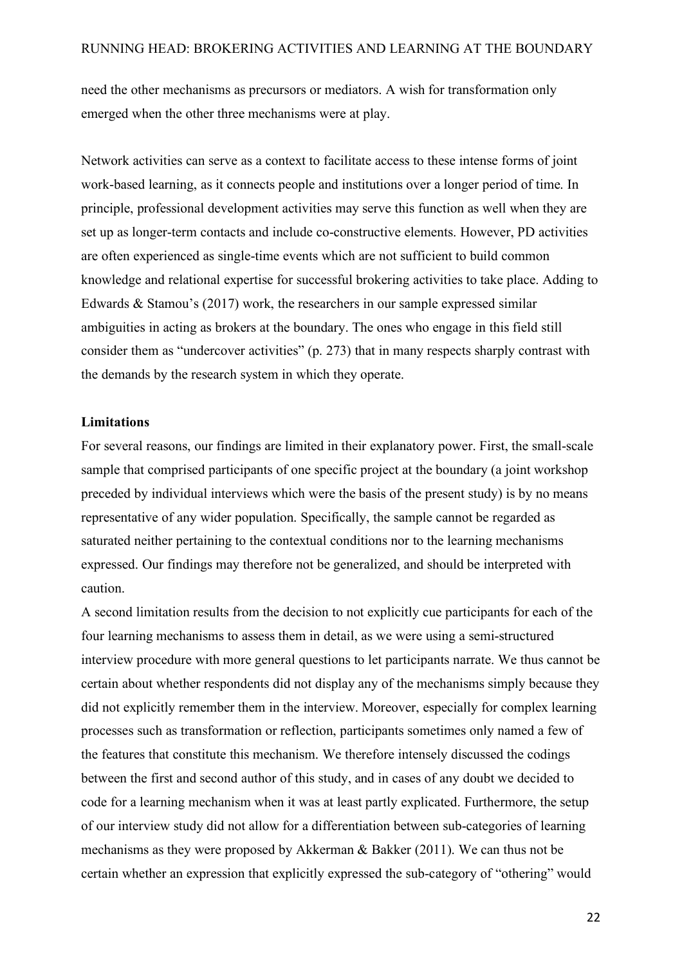need the other mechanisms as precursors or mediators. A wish for transformation only emerged when the other three mechanisms were at play.

Network activities can serve as a context to facilitate access to these intense forms of joint work-based learning, as it connects people and institutions over a longer period of time. In principle, professional development activities may serve this function as well when they are set up as longer-term contacts and include co-constructive elements. However, PD activities are often experienced as single-time events which are not sufficient to build common knowledge and relational expertise for successful brokering activities to take place. Adding to Edwards & Stamou's (2017) work, the researchers in our sample expressed similar ambiguities in acting as brokers at the boundary. The ones who engage in this field still consider them as "undercover activities" (p. 273) that in many respects sharply contrast with the demands by the research system in which they operate.

#### **Limitations**

For several reasons, our findings are limited in their explanatory power. First, the small-scale sample that comprised participants of one specific project at the boundary (a joint workshop preceded by individual interviews which were the basis of the present study) is by no means representative of any wider population. Specifically, the sample cannot be regarded as saturated neither pertaining to the contextual conditions nor to the learning mechanisms expressed. Our findings may therefore not be generalized, and should be interpreted with caution.

A second limitation results from the decision to not explicitly cue participants for each of the four learning mechanisms to assess them in detail, as we were using a semi-structured interview procedure with more general questions to let participants narrate. We thus cannot be certain about whether respondents did not display any of the mechanisms simply because they did not explicitly remember them in the interview. Moreover, especially for complex learning processes such as transformation or reflection, participants sometimes only named a few of the features that constitute this mechanism. We therefore intensely discussed the codings between the first and second author of this study, and in cases of any doubt we decided to code for a learning mechanism when it was at least partly explicated. Furthermore, the setup of our interview study did not allow for a differentiation between sub-categories of learning mechanisms as they were proposed by Akkerman  $\&$  Bakker (2011). We can thus not be certain whether an expression that explicitly expressed the sub-category of "othering" would

22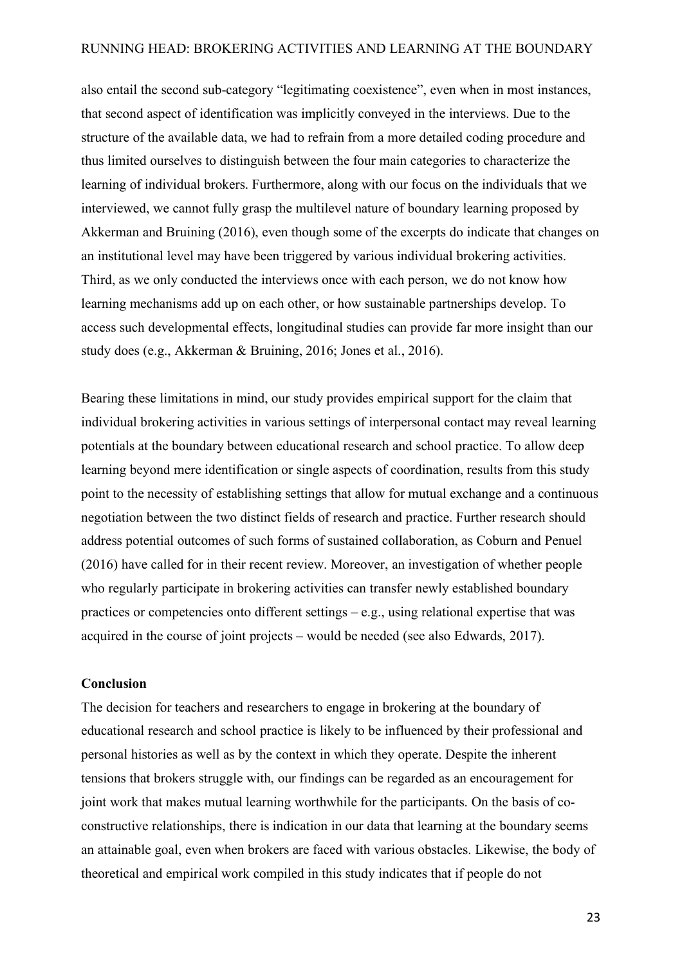also entail the second sub-category "legitimating coexistence", even when in most instances, that second aspect of identification was implicitly conveyed in the interviews. Due to the structure of the available data, we had to refrain from a more detailed coding procedure and thus limited ourselves to distinguish between the four main categories to characterize the learning of individual brokers. Furthermore, along with our focus on the individuals that we interviewed, we cannot fully grasp the multilevel nature of boundary learning proposed by Akkerman and Bruining (2016), even though some of the excerpts do indicate that changes on an institutional level may have been triggered by various individual brokering activities. Third, as we only conducted the interviews once with each person, we do not know how learning mechanisms add up on each other, or how sustainable partnerships develop. To access such developmental effects, longitudinal studies can provide far more insight than our study does (e.g., Akkerman & Bruining, 2016; Jones et al., 2016).

Bearing these limitations in mind, our study provides empirical support for the claim that individual brokering activities in various settings of interpersonal contact may reveal learning potentials at the boundary between educational research and school practice. To allow deep learning beyond mere identification or single aspects of coordination, results from this study point to the necessity of establishing settings that allow for mutual exchange and a continuous negotiation between the two distinct fields of research and practice. Further research should address potential outcomes of such forms of sustained collaboration, as Coburn and Penuel (2016) have called for in their recent review. Moreover, an investigation of whether people who regularly participate in brokering activities can transfer newly established boundary practices or competencies onto different settings  $-e.g.,$  using relational expertise that was acquired in the course of joint projects – would be needed (see also Edwards, 2017).

#### **Conclusion**

The decision for teachers and researchers to engage in brokering at the boundary of educational research and school practice is likely to be influenced by their professional and personal histories as well as by the context in which they operate. Despite the inherent tensions that brokers struggle with, our findings can be regarded as an encouragement for joint work that makes mutual learning worthwhile for the participants. On the basis of coconstructive relationships, there is indication in our data that learning at the boundary seems an attainable goal, even when brokers are faced with various obstacles. Likewise, the body of theoretical and empirical work compiled in this study indicates that if people do not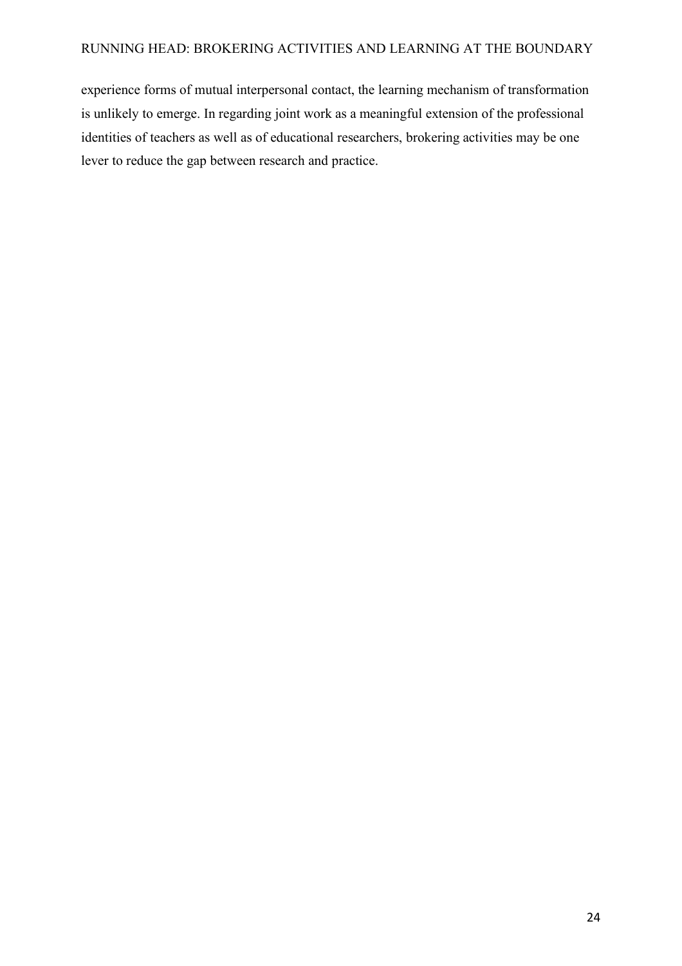experience forms of mutual interpersonal contact, the learning mechanism of transformation is unlikely to emerge. In regarding joint work as a meaningful extension of the professional identities of teachers as well as of educational researchers, brokering activities may be one lever to reduce the gap between research and practice.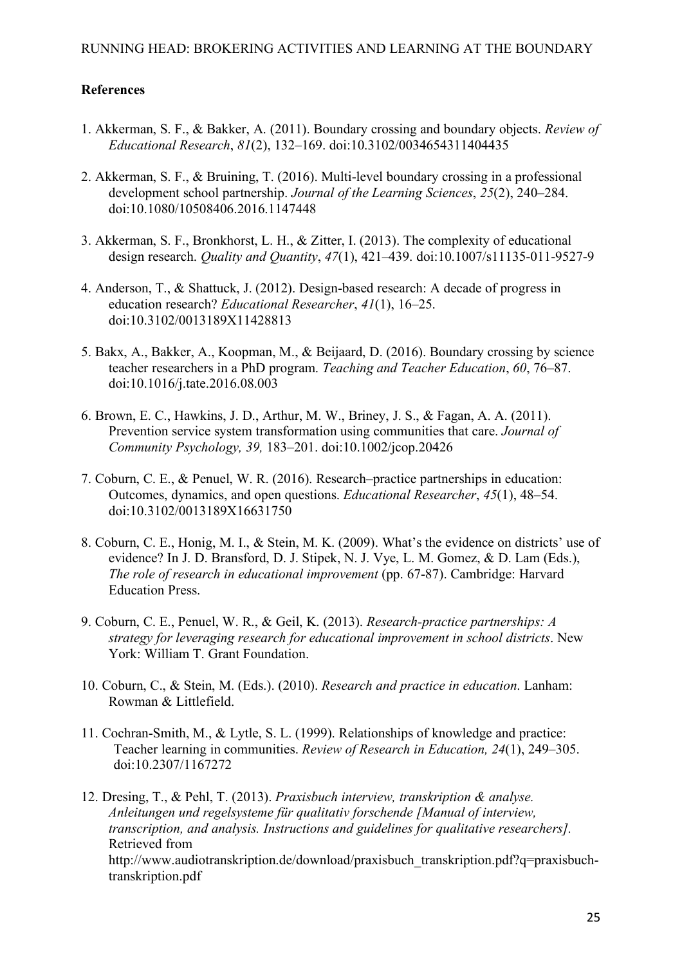## **References**

- 1. Akkerman, S. F., & Bakker, A. (2011). Boundary crossing and boundary objects. *Review of Educational Research*, *81*(2), 132–169. doi:10.3102/0034654311404435
- 2. Akkerman, S. F., & Bruining, T. (2016). Multi-level boundary crossing in a professional development school partnership. *Journal of the Learning Sciences*, *25*(2), 240–284. doi:10.1080/10508406.2016.1147448
- 3. Akkerman, S. F., Bronkhorst, L. H., & Zitter, I. (2013). The complexity of educational design research. *Quality and Quantity*, *47*(1), 421–439. doi:10.1007/s11135-011-9527-9
- 4. Anderson, T., & Shattuck, J. (2012). Design-based research: A decade of progress in education research? *Educational Researcher*, *41*(1), 16–25. doi:10.3102/0013189X11428813
- 5. Bakx, A., Bakker, A., Koopman, M., & Beijaard, D. (2016). Boundary crossing by science teacher researchers in a PhD program. *Teaching and Teacher Education*, *60*, 76–87. doi:10.1016/j.tate.2016.08.003
- 6. Brown, E. C., Hawkins, J. D., Arthur, M. W., Briney, J. S., & Fagan, A. A. (2011). Prevention service system transformation using communities that care. *Journal of Community Psychology, 39,* 183–201. doi:10.1002/jcop.20426
- 7. Coburn, C. E., & Penuel, W. R. (2016). Research–practice partnerships in education: Outcomes, dynamics, and open questions. *Educational Researcher*, *45*(1), 48–54. doi:10.3102/0013189X16631750
- 8. Coburn, C. E., Honig, M. I., & Stein, M. K. (2009). What's the evidence on districts' use of evidence? In J. D. Bransford, D. J. Stipek, N. J. Vye, L. M. Gomez, & D. Lam (Eds.), *The role of research in educational improvement* (pp. 67-87). Cambridge: Harvard Education Press.
- 9. Coburn, C. E., Penuel, W. R., & Geil, K. (2013). *Research-practice partnerships: A strategy for leveraging research for educational improvement in school districts*. New York: William T. Grant Foundation.
- 10. Coburn, C., & Stein, M. (Eds.). (2010). *Research and practice in education*. Lanham: Rowman & Littlefield.
- 11. Cochran-Smith, M., & Lytle, S. L. (1999). Relationships of knowledge and practice: Teacher learning in communities. *Review of Research in Education, 24*(1), 249–305. doi:10.2307/1167272
- 12. Dresing, T., & Pehl, T. (2013). *Praxisbuch interview, transkription & analyse. Anleitungen und regelsysteme für qualitativ forschende [Manual of interview, transcription, and analysis. Instructions and guidelines for qualitative researchers].* Retrieved from http://www.audiotranskription.de/download/praxisbuch transkription.pdf?q=praxisbuchtranskription.pdf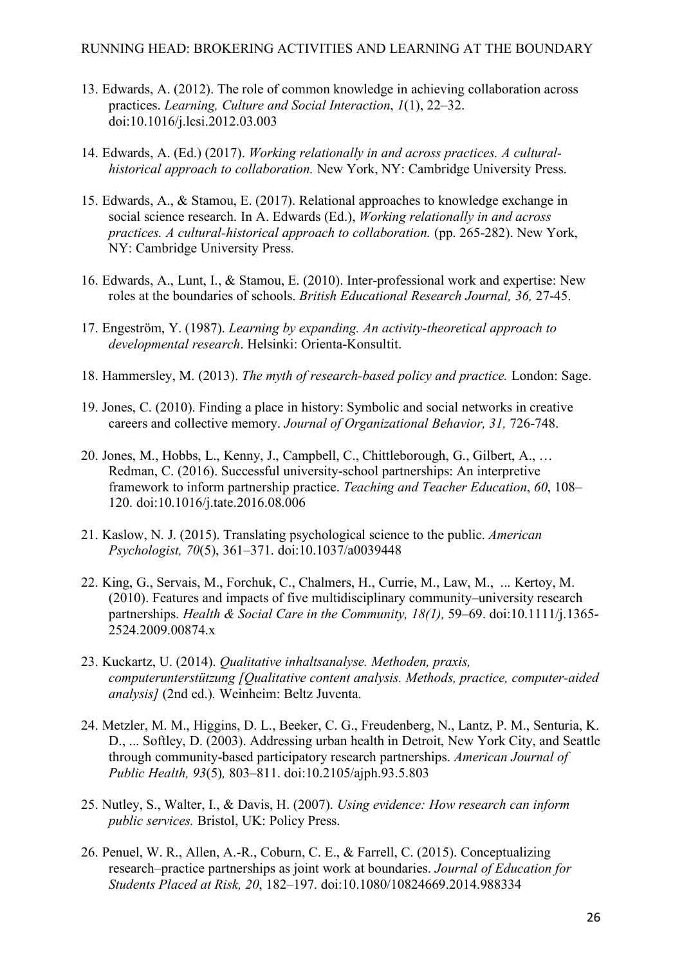- 13. Edwards, A. (2012). The role of common knowledge in achieving collaboration across practices. *Learning, Culture and Social Interaction*, *1*(1), 22–32. doi:10.1016/j.lcsi.2012.03.003
- 14. Edwards, A. (Ed.) (2017). *Working relationally in and across practices. A culturalhistorical approach to collaboration.* New York, NY: Cambridge University Press.
- 15. Edwards, A., & Stamou, E. (2017). Relational approaches to knowledge exchange in social science research. In A. Edwards (Ed.), *Working relationally in and across practices. A cultural-historical approach to collaboration.* (pp. 265-282). New York, NY: Cambridge University Press.
- 16. Edwards, A., Lunt, I., & Stamou, E. (2010). Inter-professional work and expertise: New roles at the boundaries of schools. *British Educational Research Journal, 36,* 27-45.
- 17. Engeström, Y. (1987). *Learning by expanding. An activity-theoretical approach to developmental research*. Helsinki: Orienta-Konsultit.
- 18. Hammersley, M. (2013). *The myth of research-based policy and practice.* London: Sage.
- 19. Jones, C. (2010). Finding a place in history: Symbolic and social networks in creative careers and collective memory. *Journal of Organizational Behavior, 31,* 726-748.
- 20. Jones, M., Hobbs, L., Kenny, J., Campbell, C., Chittleborough, G., Gilbert, A., … Redman, C. (2016). Successful university-school partnerships: An interpretive framework to inform partnership practice. *Teaching and Teacher Education*, *60*, 108– 120. doi:10.1016/j.tate.2016.08.006
- 21. Kaslow, N. J. (2015). Translating psychological science to the public. *American Psychologist, 70*(5), 361–371. doi:10.1037/a0039448
- 22. King, G., Servais, M., Forchuk, C., Chalmers, H., Currie, M., Law, M., ... Kertoy, M. (2010). Features and impacts of five multidisciplinary community–university research partnerships. *Health & Social Care in the Community, 18(1),* 59–69. doi:10.1111/j.1365- 2524.2009.00874.x
- 23. Kuckartz, U. (2014). *Qualitative inhaltsanalyse. Methoden, praxis, computerunterstützung [Qualitative content analysis. Methods, practice, computer-aided analysis]* (2nd ed.)*.* Weinheim: Beltz Juventa.
- 24. Metzler, M. M., Higgins, D. L., Beeker, C. G., Freudenberg, N., Lantz, P. M., Senturia, K. D., ... Softley, D. (2003). Addressing urban health in Detroit, New York City, and Seattle through community-based participatory research partnerships. *American Journal of Public Health, 93*(5)*,* 803–811. doi:10.2105/ajph.93.5.803
- 25. Nutley, S., Walter, I., & Davis, H. (2007). *Using evidence: How research can inform public services.* Bristol, UK: Policy Press.
- 26. Penuel, W. R., Allen, A.-R., Coburn, C. E., & Farrell, C. (2015). Conceptualizing research–practice partnerships as joint work at boundaries. *Journal of Education for Students Placed at Risk, 20*, 182–197. doi:10.1080/10824669.2014.988334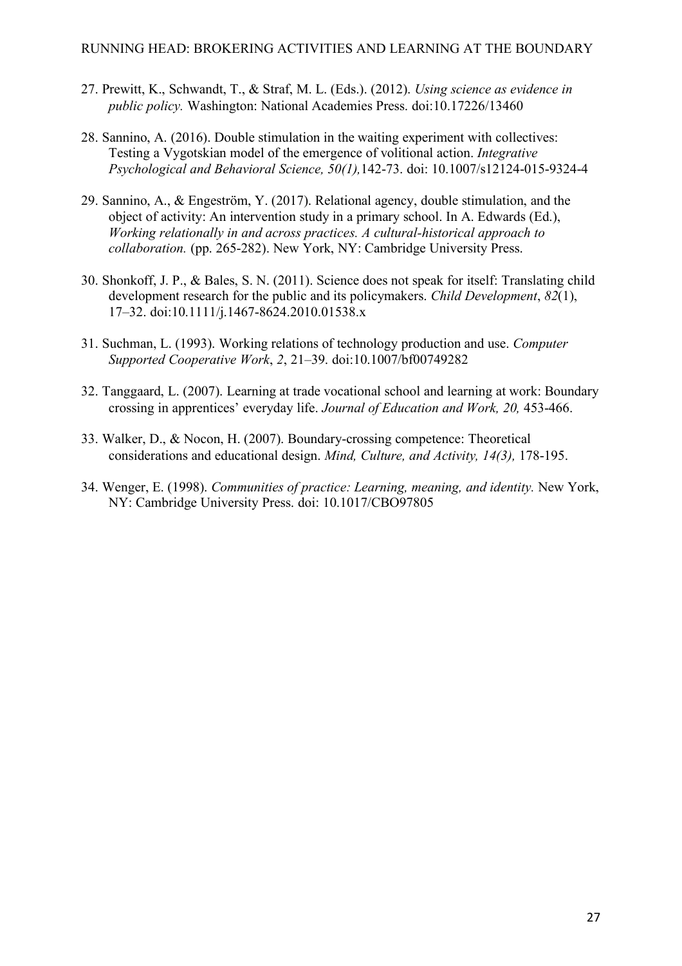- 27. Prewitt, K., Schwandt, T., & Straf, M. L. (Eds.). (2012). *Using science as evidence in public policy.* Washington: National Academies Press. doi:10.17226/13460
- 28. Sannino, A. (2016). Double stimulation in the waiting experiment with collectives: Testing a Vygotskian model of the emergence of volitional action. *Integrative Psychological and Behavioral Science, 50(1),*142-73. doi: 10.1007/s12124-015-9324-4
- 29. Sannino, A., & Engeström, Y. (2017). Relational agency, double stimulation, and the object of activity: An intervention study in a primary school. In A. Edwards (Ed.), *Working relationally in and across practices. A cultural-historical approach to collaboration.* (pp. 265-282). New York, NY: Cambridge University Press.
- 30. Shonkoff, J. P., & Bales, S. N. (2011). Science does not speak for itself: Translating child development research for the public and its policymakers. *Child Development*, *82*(1), 17–32. doi:10.1111/j.1467-8624.2010.01538.x
- 31. Suchman, L. (1993). Working relations of technology production and use. *Computer Supported Cooperative Work*, *2*, 21–39. doi:10.1007/bf00749282
- 32. Tanggaard, L. (2007). Learning at trade vocational school and learning at work: Boundary crossing in apprentices' everyday life. *Journal of Education and Work, 20,* 453-466.
- 33. Walker, D., & Nocon, H. (2007). Boundary-crossing competence: Theoretical considerations and educational design. *Mind, Culture, and Activity, 14(3),* 178-195.
- 34. Wenger, E. (1998). *Communities of practice: Learning, meaning, and identity.* New York, NY: Cambridge University Press. doi: 10.1017/CBO97805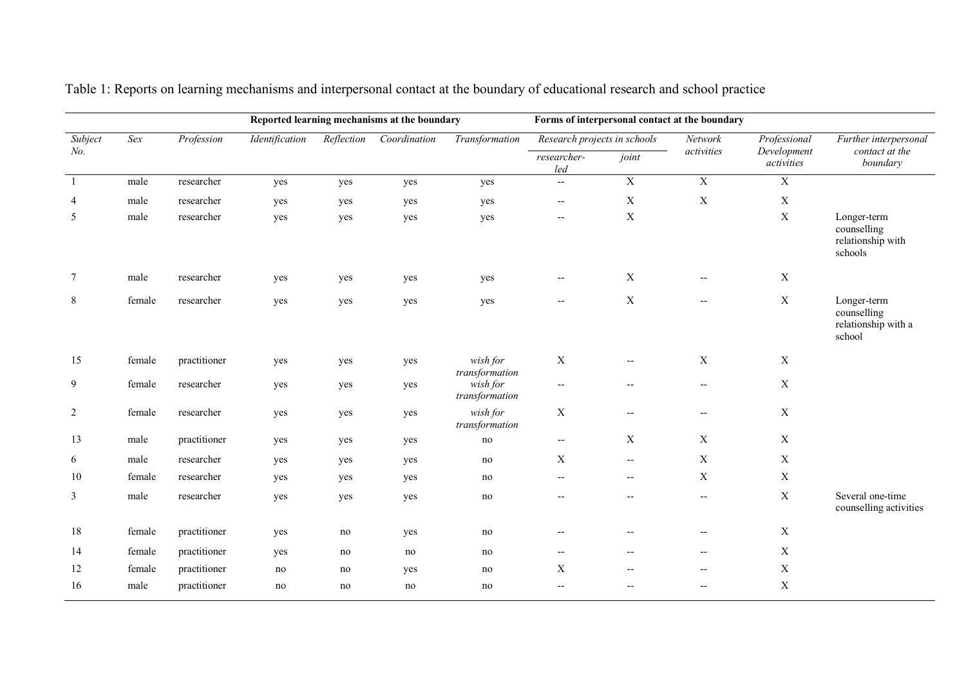|                |        |              | Reported learning mechanisms at the boundary |            |              | Forms of interpersonal contact at the boundary |                              |                          |                                     |                           |                                                             |
|----------------|--------|--------------|----------------------------------------------|------------|--------------|------------------------------------------------|------------------------------|--------------------------|-------------------------------------|---------------------------|-------------------------------------------------------------|
| Subject        | Sex    | Profession   | Identification                               | Reflection | Coordination | Transformation                                 | Research projects in schools |                          | Network<br>Professional             |                           | Further interpersonal                                       |
| No.            |        |              |                                              |            |              |                                                | researcher-<br>led           | joint                    | activities                          | Development<br>activities | contact at the<br>boundary                                  |
| -1             | male   | researcher   | yes                                          | yes        | yes          | yes                                            | $\overline{\phantom{a}}$     | $\overline{X}$           | $\overline{X}$                      | $\overline{X}$            |                                                             |
| $\overline{4}$ | male   | researcher   | yes                                          | yes        | yes          | yes                                            | $\overline{\phantom{a}}$     | $\mathbf X$              | $\mathbf X$                         | $\mathbf X$               |                                                             |
| 5              | male   | researcher   | yes                                          | yes        | yes          | yes                                            | $\overline{\phantom{m}}$     | $\mathbf X$              |                                     | $\mathbf X$               | Longer-term<br>counselling<br>relationship with<br>schools  |
| $\tau$         | male   | researcher   | yes                                          | yes        | yes          | yes                                            | $\overline{\phantom{a}}$     | $\mathbf X$              | $\overline{\phantom{a}}$            | $\mathbf X$               |                                                             |
| 8              | female | researcher   | yes                                          | yes        | yes          | yes                                            | $\overline{\phantom{m}}$     | $\mathbf X$              | $\overline{\phantom{m}}$            | $\mathbf X$               | Longer-term<br>counselling<br>relationship with a<br>school |
| 15             | female | practitioner | yes                                          | yes        | yes          | wish for<br>transformation                     | $\mathbf X$                  | $- -$                    | X                                   | $\mathbf X$               |                                                             |
| 9              | female | researcher   | yes                                          | yes        | yes          | wish for<br>transformation                     | $\overline{\phantom{m}}$     | $\overline{\phantom{a}}$ | $-$                                 | $\mathbf X$               |                                                             |
| $\overline{2}$ | female | researcher   | yes                                          | yes        | yes          | wish for<br>transformation                     | $\mathbf X$                  | --                       | $\hspace{0.05cm}$ $\hspace{0.05cm}$ | $\mathbf X$               |                                                             |
| 13             | male   | practitioner | yes                                          | yes        | yes          | $\rm no$                                       | $\overline{\phantom{a}}$     | $\mathbf X$              | $\mathbf X$                         | $\mathbf X$               |                                                             |
| 6              | male   | researcher   | yes                                          | yes        | yes          | no                                             | $\mathbf{X}$                 | $\overline{\phantom{m}}$ | $\mathbf{X}$                        | $\mathbf X$               |                                                             |
| 10             | female | researcher   | yes                                          | yes        | yes          | $\rm no$                                       | $\overline{\phantom{a}}$     | $\overline{\phantom{a}}$ | $\mathbf X$                         | $\mathbf X$               |                                                             |
| $\mathbf{3}$   | male   | researcher   | yes                                          | yes        | yes          | $\rm no$                                       | $\overline{\phantom{m}}$     | --                       | ÷                                   | $\mathbf X$               | Several one-time<br>counselling activities                  |
| 18             | female | practitioner | yes                                          | no         | yes          | no                                             | $\qquad \qquad -$            | $-$                      | --                                  | $\mathbf X$               |                                                             |
| 14             | female | practitioner | yes                                          | no         | no           | $\rm no$                                       | $\overline{\phantom{a}}$     | $\overline{\phantom{a}}$ | --                                  | $\mathbf X$               |                                                             |
| 12             | female | practitioner | no                                           | no         | yes          | no                                             | X                            | $\overline{\phantom{m}}$ | --                                  | $\mathbf X$               |                                                             |
| 16             | male   | practitioner | no                                           | no         | no           | no                                             | $\overline{\phantom{a}}$     | $-$                      | ÷                                   | $\mathbf X$               |                                                             |

|  | Table 1: Reports on learning mechanisms and interpersonal contact at the boundary of educational research and school practice |  |  |  |
|--|-------------------------------------------------------------------------------------------------------------------------------|--|--|--|
|  |                                                                                                                               |  |  |  |
|  |                                                                                                                               |  |  |  |
|  |                                                                                                                               |  |  |  |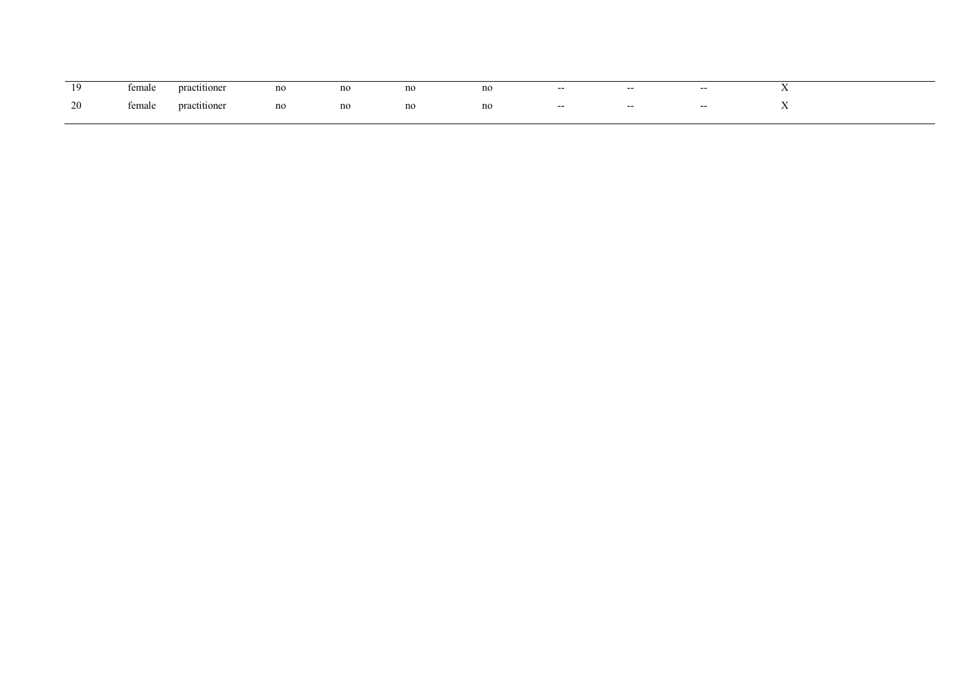| 10<br>. .             | temale | practitioner | no | no | no | no | $- -$ | $- -$ | $- -$ |  |
|-----------------------|--------|--------------|----|----|----|----|-------|-------|-------|--|
| 20<br>$\sim$ $\sigma$ | temale | practitioner | no | 10 | no | no | $- -$ | $- -$ | $- -$ |  |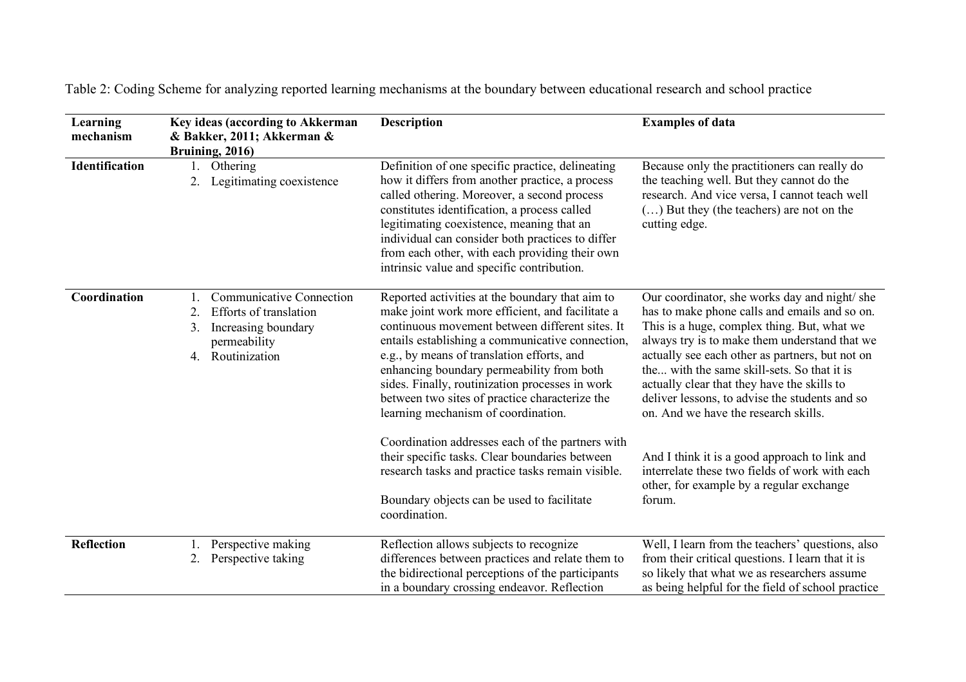**Learning mechanism Key ideas (according to Akkerman & Bakker, 2011; Akkerman & Bruining, 2016) Description Examples of data Identification** 1. Othering Definition of one specific practice, delineating how it differs from another practice, a process called othering. Moreover, a second process constitutes identification, a process called legitimating coexistence, meaning that an individual can consider both practices to differ from each other, with each providing their own intrinsic value and specific contribution. Because only the practitioners can really do the teaching well. But they cannot do the research. And vice versa, I cannot teach well (…) But they (the teachers) are not on the cutting edge. 2. Legitimating coexistence **Coordination** 1. Communicative Connection Reported activities at the boundary that aim to make joint work more efficient, and facilitate a continuous movement between different sites. It entails establishing a communicative connection, e.g., by means of translation efforts, and enhancing boundary permeability from both sides. Finally, routinization processes in work between two sites of practice characterize the learning mechanism of coordination. Coordination addresses each of the partners with their specific tasks. Clear boundaries between research tasks and practice tasks remain visible. Boundary objects can be used to facilitate coordination. Our coordinator, she works day and night/ she has to make phone calls and emails and so on. This is a huge, complex thing. But, what we always try is to make them understand that we actually see each other as partners, but not on the... with the same skill-sets. So that it is actually clear that they have the skills to deliver lessons, to advise the students and so on. And we have the research skills. And I think it is a good approach to link and interrelate these two fields of work with each other, for example by a regular exchange forum. 2. Efforts of translation 3. Increasing boundary permeability 4. Routinization **Reflection** 1. Perspective making 2. Perspective taking Reflection allows subjects to recognize differences between practices and relate them to the bidirectional perceptions of the participants in a boundary crossing endeavor. Reflection Well, I learn from the teachers' questions, also from their critical questions. I learn that it is so likely that what we as researchers assume as being helpful for the field of school practice

Table 2: Coding Scheme for analyzing reported learning mechanisms at the boundary between educational research and school practice